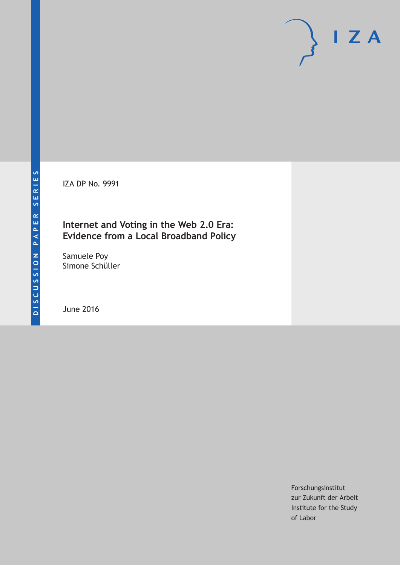IZA DP No. 9991

# **Internet and Voting in the Web 2.0 Era: Evidence from a Local Broadband Policy**

Samuele Poy Simone Schüller

June 2016

Forschungsinstitut zur Zukunft der Arbeit Institute for the Study of Labor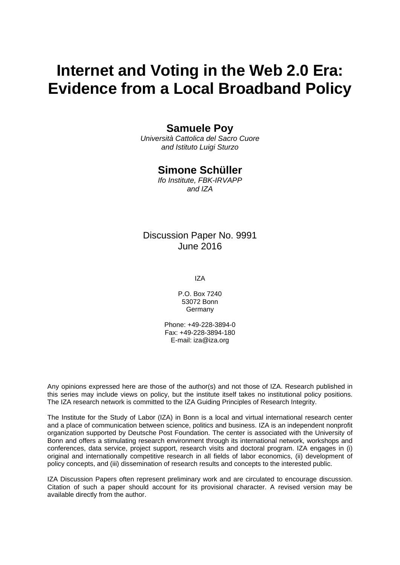# **Internet and Voting in the Web 2.0 Era: Evidence from a Local Broadband Policy**

## **Samuele Poy**

*Università Cattolica del Sacro Cuore and Istituto Luigi Sturzo* 

### **Simone Schüller**

*Ifo Institute, FBK-IRVAPP and IZA* 

### Discussion Paper No. 9991 June 2016

IZA

P.O. Box 7240 53072 Bonn Germany

Phone: +49-228-3894-0 Fax: +49-228-3894-180 E-mail: iza@iza.org

Any opinions expressed here are those of the author(s) and not those of IZA. Research published in this series may include views on policy, but the institute itself takes no institutional policy positions. The IZA research network is committed to the IZA Guiding Principles of Research Integrity.

The Institute for the Study of Labor (IZA) in Bonn is a local and virtual international research center and a place of communication between science, politics and business. IZA is an independent nonprofit organization supported by Deutsche Post Foundation. The center is associated with the University of Bonn and offers a stimulating research environment through its international network, workshops and conferences, data service, project support, research visits and doctoral program. IZA engages in (i) original and internationally competitive research in all fields of labor economics, (ii) development of policy concepts, and (iii) dissemination of research results and concepts to the interested public.

IZA Discussion Papers often represent preliminary work and are circulated to encourage discussion. Citation of such a paper should account for its provisional character. A revised version may be available directly from the author.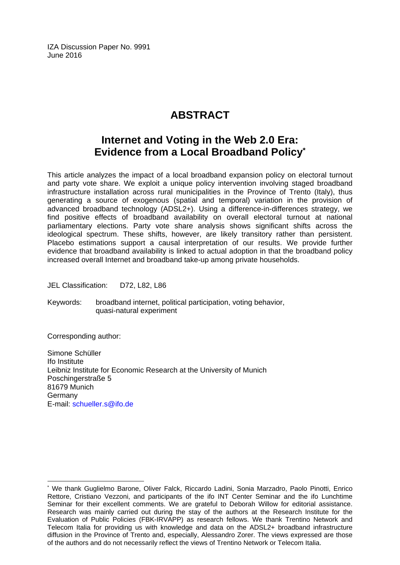IZA Discussion Paper No. 9991 June 2016

# **ABSTRACT**

# **Internet and Voting in the Web 2.0 Era: Evidence from a Local Broadband Policy\***

This article analyzes the impact of a local broadband expansion policy on electoral turnout and party vote share. We exploit a unique policy intervention involving staged broadband infrastructure installation across rural municipalities in the Province of Trento (Italy), thus generating a source of exogenous (spatial and temporal) variation in the provision of advanced broadband technology (ADSL2+). Using a difference-in-differences strategy, we find positive effects of broadband availability on overall electoral turnout at national parliamentary elections. Party vote share analysis shows significant shifts across the ideological spectrum. These shifts, however, are likely transitory rather than persistent. Placebo estimations support a causal interpretation of our results. We provide further evidence that broadband availability is linked to actual adoption in that the broadband policy increased overall Internet and broadband take-up among private households.

JEL Classification: D72, L82, L86

Keywords: broadband internet, political participation, voting behavior, quasi-natural experiment

Corresponding author:

 $\overline{\phantom{a}}$ 

Simone Schüller Ifo Institute Leibniz Institute for Economic Research at the University of Munich Poschingerstraße 5 81679 Munich Germany E-mail: schueller.s@ifo.de

<sup>\*</sup> We thank Guglielmo Barone, Oliver Falck, Riccardo Ladini, Sonia Marzadro, Paolo Pinotti, Enrico Rettore, Cristiano Vezzoni, and participants of the ifo INT Center Seminar and the ifo Lunchtime Seminar for their excellent comments. We are grateful to Deborah Willow for editorial assistance. Research was mainly carried out during the stay of the authors at the Research Institute for the Evaluation of Public Policies (FBK-IRVAPP) as research fellows. We thank Trentino Network and Telecom Italia for providing us with knowledge and data on the ADSL2+ broadband infrastructure diffusion in the Province of Trento and, especially, Alessandro Zorer. The views expressed are those of the authors and do not necessarily reflect the views of Trentino Network or Telecom Italia.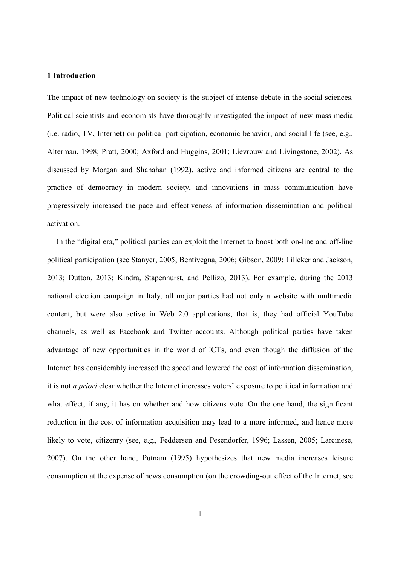#### 1 Introduction

The impact of new technology on society is the subject of intense debate in the social sciences. Political scientists and economists have thoroughly investigated the impact of new mass media (i.e. radio, TV, Internet) on political participation, economic behavior, and social life (see, e.g., Alterman, 1998; Pratt, 2000; Axford and Huggins, 2001; Lievrouw and Livingstone, 2002). As discussed by Morgan and Shanahan (1992), active and informed citizens are central to the practice of democracy in modern society, and innovations in mass communication have progressively increased the pace and effectiveness of information dissemination and political activation.

In the "digital era," political parties can exploit the Internet to boost both on-line and off-line political participation (see Stanyer, 2005; Bentivegna, 2006; Gibson, 2009; Lilleker and Jackson, 2013; Dutton, 2013; Kindra, Stapenhurst, and Pellizo, 2013). For example, during the 2013 national election campaign in Italy, all major parties had not only a website with multimedia content, but were also active in Web 2.0 applications, that is, they had official YouTube channels, as well as Facebook and Twitter accounts. Although political parties have taken advantage of new opportunities in the world of ICTs, and even though the diffusion of the Internet has considerably increased the speed and lowered the cost of information dissemination, it is not *a priori* clear whether the Internet increases voters' exposure to political information and what effect, if any, it has on whether and how citizens vote. On the one hand, the significant reduction in the cost of information acquisition may lead to a more informed, and hence more likely to vote, citizenry (see, e.g., Feddersen and Pesendorfer, 1996; Lassen, 2005; Larcinese, 2007). On the other hand, Putnam (1995) hypothesizes that new media increases leisure consumption at the expense of news consumption (on the crowding-out effect of the Internet, see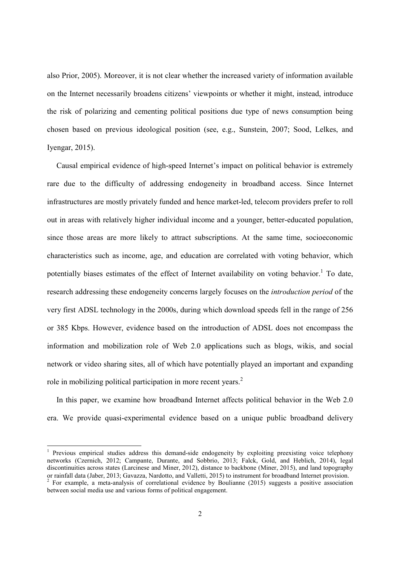also Prior, 2005). Moreover, it is not clear whether the increased variety of information available on the Internet necessarily broadens citizens' viewpoints or whether it might, instead, introduce the risk of polarizing and cementing political positions due type of news consumption being chosen based on previous ideological position (see, e.g., Sunstein, 2007; Sood, Lelkes, and Iyengar, 2015).

Causal empirical evidence of high-speed Internet's impact on political behavior is extremely rare due to the difficulty of addressing endogeneity in broadband access. Since Internet infrastructures are mostly privately funded and hence market-led, telecom providers prefer to roll out in areas with relatively higher individual income and a younger, better-educated population, since those areas are more likely to attract subscriptions. At the same time, socioeconomic characteristics such as income, age, and education are correlated with voting behavior, which potentially biases estimates of the effect of Internet availability on voting behavior.<sup>1</sup> To date, research addressing these endogeneity concerns largely focuses on the *introduction period* of the very first ADSL technology in the 2000s, during which download speeds fell in the range of 256 or 385 Kbps. However, evidence based on the introduction of ADSL does not encompass the information and mobilization role of Web 2.0 applications such as blogs, wikis, and social network or video sharing sites, all of which have potentially played an important and expanding role in mobilizing political participation in more recent years.<sup>2</sup>

In this paper, we examine how broadband Internet affects political behavior in the Web 2.0 era. We provide quasi-experimental evidence based on a unique public broadband delivery

<sup>&</sup>lt;sup>1</sup> Previous empirical studies address this demand-side endogeneity by exploiting preexisting voice telephony networks (Czernich, 2012; Campante, Durante, and Sobbrio, 2013; Falck, Gold, and Heblich, 2014), legal discontinuities across states (Larcinese and Miner, 2012), distance to backbone (Miner, 2015), and land topography or rainfall data (Jaber, 2013; Gavazza, Nardotto, and Valletti, 2015) to instrument for broadband Internet

 $2$  For example, a meta-analysis of correlational evidence by Boulianne (2015) suggests a positive association between social media use and various forms of political engagement.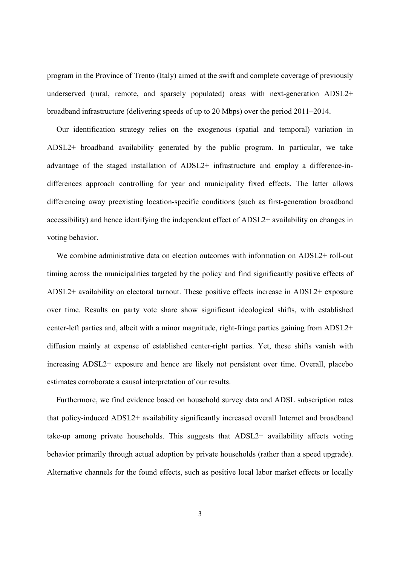program in the Province of Trento (Italy) aimed at the swift and complete coverage of previously underserved (rural, remote, and sparsely populated) areas with next-generation ADSL2+ broadband infrastructure (delivering speeds of up to 20 Mbps) over the period 2011–2014.

Our identification strategy relies on the exogenous (spatial and temporal) variation in ADSL2+ broadband availability generated by the public program. In particular, we take advantage of the staged installation of ADSL2+ infrastructure and employ a difference-indifferences approach controlling for year and municipality fixed effects. The latter allows differencing away preexisting location-specific conditions (such as first-generation broadband accessibility) and hence identifying the independent effect of ADSL2+ availability on changes in voting behavior.

We combine administrative data on election outcomes with information on ADSL2+ roll-out timing across the municipalities targeted by the policy and find significantly positive effects of ADSL2+ availability on electoral turnout. These positive effects increase in ADSL2+ exposure over time. Results on party vote share show significant ideological shifts, with established center-left parties and, albeit with a minor magnitude, right-fringe parties gaining from ADSL2+ diffusion mainly at expense of established center-right parties. Yet, these shifts vanish with increasing ADSL2+ exposure and hence are likely not persistent over time. Overall, placebo estimates corroborate a causal interpretation of our results.

Furthermore, we find evidence based on household survey data and ADSL subscription rates that policy-induced ADSL2+ availability significantly increased overall Internet and broadband take-up among private households. This suggests that ADSL2+ availability affects voting behavior primarily through actual adoption by private households (rather than a speed upgrade). Alternative channels for the found effects, such as positive local labor market effects or locally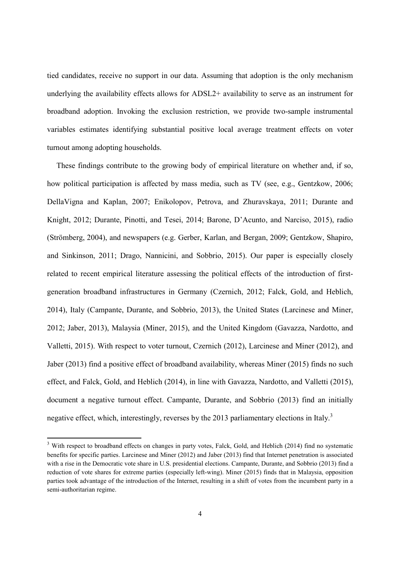tied candidates, receive no support in our data. Assuming that adoption is the only mechanism underlying the availability effects allows for ADSL2+ availability to serve as an instrument for broadband adoption. Invoking the exclusion restriction, we provide two-sample instrumental variables estimates identifying substantial positive local average treatment effects on voter turnout among adopting households.

These findings contribute to the growing body of empirical literature on whether and, if so, how political participation is affected by mass media, such as TV (see, e.g., Gentzkow, 2006; DellaVigna and Kaplan, 2007; Enikolopov, Petrova, and Zhuravskaya, 2011; Durante and Knight, 2012; Durante, Pinotti, and Tesei, 2014; Barone, D'Acunto, and Narciso, 2015), radio (Strömberg, 2004), and newspapers (e.g. Gerber, Karlan, and Bergan, 2009; Gentzkow, Shapiro, and Sinkinson, 2011; Drago, Nannicini, and Sobbrio, 2015). Our paper is especially closely related to recent empirical literature assessing the political effects of the introduction of firstgeneration broadband infrastructures in Germany (Czernich, 2012; Falck, Gold, and Heblich, 2014), Italy (Campante, Durante, and Sobbrio, 2013), the United States (Larcinese and Miner, 2012; Jaber, 2013), Malaysia (Miner, 2015), and the United Kingdom (Gavazza, Nardotto, and Valletti, 2015). With respect to voter turnout, Czernich (2012), Larcinese and Miner (2012), and Jaber (2013) find a positive effect of broadband availability, whereas Miner (2015) finds no such effect, and Falck, Gold, and Heblich (2014), in line with Gavazza, Nardotto, and Valletti (2015), document a negative turnout effect. Campante, Durante, and Sobbrio (2013) find an initially negative effect, which, interestingly, reverses by the 2013 parliamentary elections in Italy.<sup>3</sup>

<sup>&</sup>lt;sup>3</sup> With respect to broadband effects on changes in party votes, Falck, Gold, and Heblich (2014) find no systematic benefits for specific parties. Larcinese and Miner (2012) and Jaber (2013) find that Internet penetration is associated with a rise in the Democratic vote share in U.S. presidential elections. Campante, Durante, and Sobbrio (2013) find a reduction of vote shares for extreme parties (especially left-wing). Miner (2015) finds that in Malaysia, opposition parties took advantage of the introduction of the Internet, resulting in a shift of votes from the incumbent party in a semi-authoritarian regime.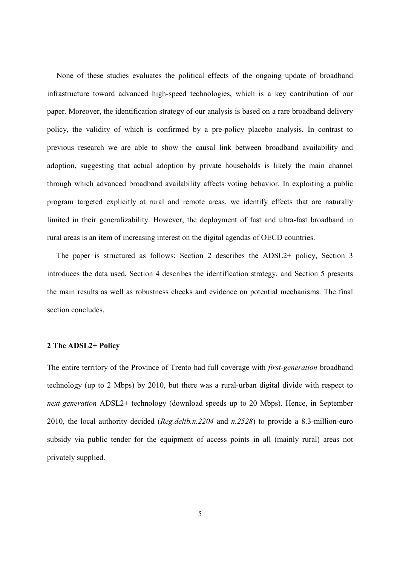None of these studies evaluates the political effects of the ongoing update of broadband infrastructure toward advanced high-speed technologies, which is a key contribution of our paper. Moreover, the identification strategy of our analysis is based on a rare broadband delivery policy, the validity of which is confirmed by a pre-policy placebo analysis. In contrast to previous research we are able to show the causal link between broadband availability and adoption, suggesting that actual adoption by private households is likely the main channel through which advanced broadband availability affects voting behavior. In exploiting a public program targeted explicitly at rural and remote areas, we identify effects that are naturally limited in their generalizability. However, the deployment of fast and ultra-fast broadband in rural areas is an item of increasing interest on the digital agendas of OECD countries.

The paper is structured as follows: Section 2 describes the ADSL2+ policy, Section 3 introduces the data used, Section 4 describes the identification strategy, and Section 5 presents the main results as well as robustness checks and evidence on potential mechanisms. The final section concludes.

#### 2 The ADSL2+ Policy

The entire territory of the Province of Trento had full coverage with *first-generation* broadband technology (up to 2 Mbps) by 2010, but there was a rural-urban digital divide with respect to *next-generation* ADSL2+ technology (download speeds up to 20 Mbps). Hence, in September 2010, the local authority decided (*Reg.delib.n.2204* and *n.2528*) to provide a 8.3-million-euro subsidy via public tender for the equipment of access points in all (mainly rural) areas not privately supplied.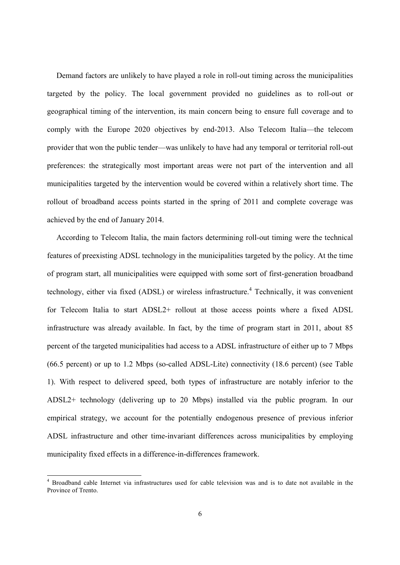Demand factors are unlikely to have played a role in roll-out timing across the municipalities targeted by the policy. The local government provided no guidelines as to roll-out or geographical timing of the intervention, its main concern being to ensure full coverage and to comply with the Europe 2020 objectives by end-2013. Also Telecom Italia—the telecom provider that won the public tender—was unlikely to have had any temporal or territorial roll-out preferences: the strategically most important areas were not part of the intervention and all municipalities targeted by the intervention would be covered within a relatively short time. The rollout of broadband access points started in the spring of 2011 and complete coverage was achieved by the end of January 2014.

According to Telecom Italia, the main factors determining roll-out timing were the technical features of preexisting ADSL technology in the municipalities targeted by the policy. At the time of program start, all municipalities were equipped with some sort of first-generation broadband technology, either via fixed (ADSL) or wireless infrastructure.<sup>4</sup> Technically, it was convenient for Telecom Italia to start ADSL2+ rollout at those access points where a fixed ADSL infrastructure was already available. In fact, by the time of program start in 2011, about 85 percent of the targeted municipalities had access to a ADSL infrastructure of either up to 7 Mbps (66.5 percent) or up to 1.2 Mbps (so-called ADSL-Lite) connectivity (18.6 percent) (see Table 1). With respect to delivered speed, both types of infrastructure are notably inferior to the ADSL2+ technology (delivering up to 20 Mbps) installed via the public program. In our empirical strategy, we account for the potentially endogenous presence of previous inferior ADSL infrastructure and other time-invariant differences across municipalities by employing municipality fixed effects in a difference-in-differences framework.

<sup>4</sup> Broadband cable Internet via infrastructures used for cable television was and is to date not available in the Province of Trento.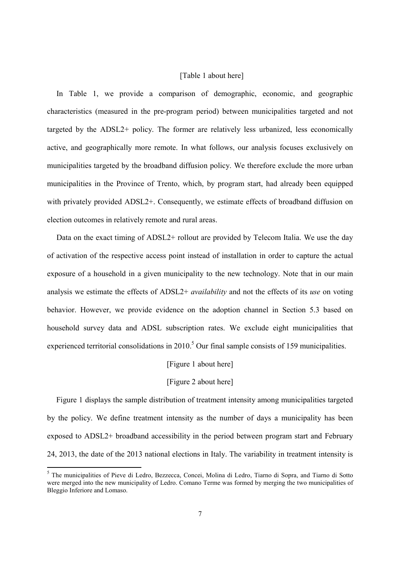#### [Table 1 about here]

In Table 1, we provide a comparison of demographic, economic, and geographic characteristics (measured in the pre-program period) between municipalities targeted and not targeted by the ADSL2+ policy. The former are relatively less urbanized, less economically active, and geographically more remote. In what follows, our analysis focuses exclusively on municipalities targeted by the broadband diffusion policy. We therefore exclude the more urban municipalities in the Province of Trento, which, by program start, had already been equipped with privately provided ADSL2+. Consequently, we estimate effects of broadband diffusion on election outcomes in relatively remote and rural areas.

Data on the exact timing of ADSL2+ rollout are provided by Telecom Italia. We use the day of activation of the respective access point instead of installation in order to capture the actual exposure of a household in a given municipality to the new technology. Note that in our main analysis we estimate the effects of ADSL2+ *availability* and not the effects of its *use* on voting behavior. However, we provide evidence on the adoption channel in Section 5.3 based on household survey data and ADSL subscription rates. We exclude eight municipalities that experienced territorial consolidations in  $2010<sup>5</sup>$  Our final sample consists of 159 municipalities.

#### [Figure 1 about here]

#### [Figure 2 about here]

Figure 1 displays the sample distribution of treatment intensity among municipalities targeted by the policy. We define treatment intensity as the number of days a municipality has been exposed to ADSL2+ broadband accessibility in the period between program start and February 24, 2013, the date of the 2013 national elections in Italy. The variability in treatment intensity is

<sup>5</sup> The municipalities of Pieve di Ledro, Bezzecca, Concei, Molina di Ledro, Tiarno di Sopra, and Tiarno di Sotto were merged into the new municipality of Ledro. Comano Terme was formed by merging the two municipalities of Bleggio Inferiore and Lomaso.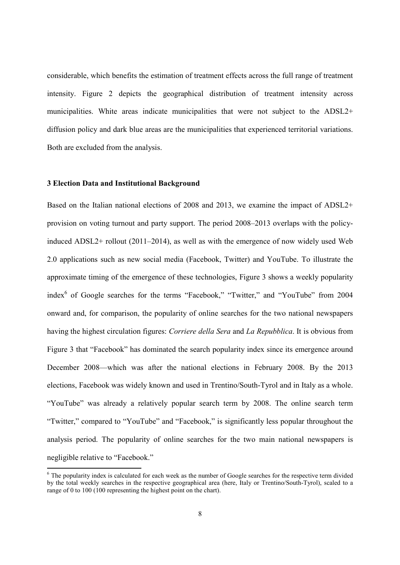considerable, which benefits the estimation of treatment effects across the full range of treatment intensity. Figure 2 depicts the geographical distribution of treatment intensity across municipalities. White areas indicate municipalities that were not subject to the ADSL2+ diffusion policy and dark blue areas are the municipalities that experienced territorial variations. Both are excluded from the analysis.

#### 3 Election Data and Institutional Background

Based on the Italian national elections of 2008 and 2013, we examine the impact of ADSL2+ provision on voting turnout and party support. The period 2008–2013 overlaps with the policyinduced ADSL2+ rollout (2011–2014), as well as with the emergence of now widely used Web 2.0 applications such as new social media (Facebook, Twitter) and YouTube. To illustrate the approximate timing of the emergence of these technologies, Figure 3 shows a weekly popularity index<sup>6</sup> of Google searches for the terms "Facebook," "Twitter," and "YouTube" from 2004 onward and, for comparison, the popularity of online searches for the two national newspapers having the highest circulation figures: *Corriere della Sera* and *La Repubblica*. It is obvious from Figure 3 that "Facebook" has dominated the search popularity index since its emergence around December 2008—which was after the national elections in February 2008. By the 2013 elections, Facebook was widely known and used in Trentino/South-Tyrol and in Italy as a whole. "YouTube" was already a relatively popular search term by 2008. The online search term "Twitter," compared to "YouTube" and "Facebook," is significantly less popular throughout the analysis period. The popularity of online searches for the two main national newspapers is negligible relative to "Facebook."

 $6$  The popularity index is calculated for each week as the number of Google searches for the respective term divided by the total weekly searches in the respective geographical area (here, Italy or Trentino/South-Tyrol), scaled to a range of 0 to 100 (100 representing the highest point on the chart).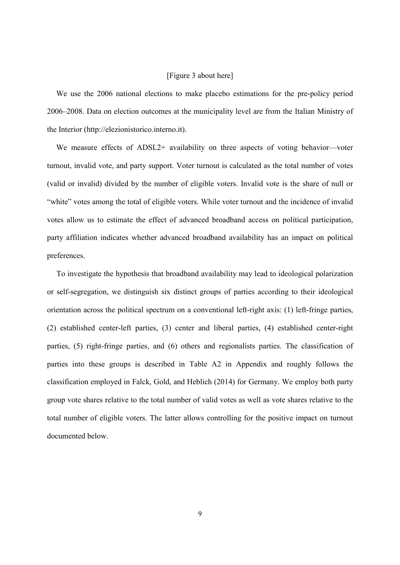#### [Figure 3 about here]

We use the 2006 national elections to make placebo estimations for the pre-policy period 2006–2008. Data on election outcomes at the municipality level are from the Italian Ministry of the Interior (http://elezionistorico.interno.it).

We measure effects of ADSL2+ availability on three aspects of voting behavior—voter turnout, invalid vote, and party support. Voter turnout is calculated as the total number of votes (valid or invalid) divided by the number of eligible voters. Invalid vote is the share of null or "white" votes among the total of eligible voters. While voter turnout and the incidence of invalid votes allow us to estimate the effect of advanced broadband access on political participation, party affiliation indicates whether advanced broadband availability has an impact on political preferences.

To investigate the hypothesis that broadband availability may lead to ideological polarization or self-segregation, we distinguish six distinct groups of parties according to their ideological orientation across the political spectrum on a conventional left-right axis: (1) left-fringe parties, (2) established center-left parties, (3) center and liberal parties, (4) established center-right parties, (5) right-fringe parties, and (6) others and regionalists parties. The classification of parties into these groups is described in Table A2 in Appendix and roughly follows the classification employed in Falck, Gold, and Heblich (2014) for Germany. We employ both party group vote shares relative to the total number of valid votes as well as vote shares relative to the total number of eligible voters. The latter allows controlling for the positive impact on turnout documented below.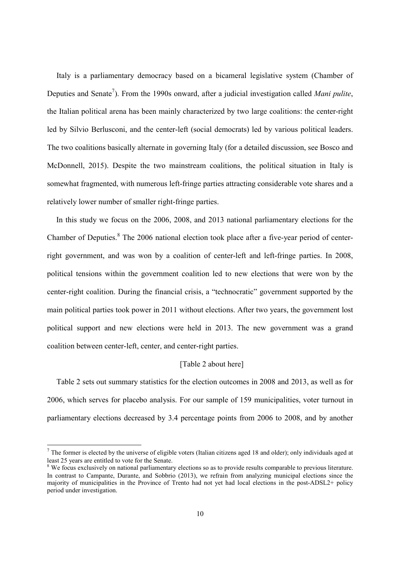Italy is a parliamentary democracy based on a bicameral legislative system (Chamber of Deputies and Senate<sup>7</sup>). From the 1990s onward, after a judicial investigation called *Mani pulite*, the Italian political arena has been mainly characterized by two large coalitions: the center-right led by Silvio Berlusconi, and the center-left (social democrats) led by various political leaders. The two coalitions basically alternate in governing Italy (for a detailed discussion, see Bosco and McDonnell, 2015). Despite the two mainstream coalitions, the political situation in Italy is somewhat fragmented, with numerous left-fringe parties attracting considerable vote shares and a relatively lower number of smaller right-fringe parties.

In this study we focus on the 2006, 2008, and 2013 national parliamentary elections for the Chamber of Deputies.<sup>8</sup> The 2006 national election took place after a five-year period of centerright government, and was won by a coalition of center-left and left-fringe parties. In 2008, political tensions within the government coalition led to new elections that were won by the center-right coalition. During the financial crisis, a "technocratic" government supported by the main political parties took power in 2011 without elections. After two years, the government lost political support and new elections were held in 2013. The new government was a grand coalition between center-left, center, and center-right parties.

#### [Table 2 about here]

Table 2 sets out summary statistics for the election outcomes in 2008 and 2013, as well as for 2006, which serves for placebo analysis. For our sample of 159 municipalities, voter turnout in parliamentary elections decreased by 3.4 percentage points from 2006 to 2008, and by another

 $<sup>7</sup>$  The former is elected by the universe of eligible voters (Italian citizens aged 18 and older); only individuals aged at</sup> least 25 years are entitled to vote for the Senate.

<sup>&</sup>lt;sup>8</sup> We focus exclusively on national parliamentary elections so as to provide results comparable to previous literature. In contrast to Campante, Durante, and Sobbrio (2013), we refrain from analyzing municipal elections since the majority of municipalities in the Province of Trento had not yet had local elections in the post-ADSL2+ policy period under investigation.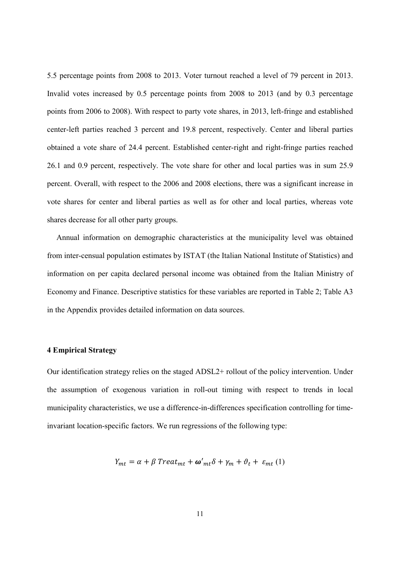5.5 percentage points from 2008 to 2013. Voter turnout reached a level of 79 percent in 2013. Invalid votes increased by 0.5 percentage points from 2008 to 2013 (and by 0.3 percentage points from 2006 to 2008). With respect to party vote shares, in 2013, left-fringe and established center-left parties reached 3 percent and 19.8 percent, respectively. Center and liberal parties obtained a vote share of 24.4 percent. Established center-right and right-fringe parties reached 26.1 and 0.9 percent, respectively. The vote share for other and local parties was in sum 25.9 percent. Overall, with respect to the 2006 and 2008 elections, there was a significant increase in vote shares for center and liberal parties as well as for other and local parties, whereas vote shares decrease for all other party groups.

Annual information on demographic characteristics at the municipality level was obtained from inter-censual population estimates by ISTAT (the Italian National Institute of Statistics) and information on per capita declared personal income was obtained from the Italian Ministry of Economy and Finance. Descriptive statistics for these variables are reported in Table 2; Table A3 in the Appendix provides detailed information on data sources.

#### 4 Empirical Strategy

Our identification strategy relies on the staged ADSL2+ rollout of the policy intervention. Under the assumption of exogenous variation in roll-out timing with respect to trends in local municipality characteristics, we use a difference-in-differences specification controlling for timeinvariant location-specific factors. We run regressions of the following type:

$$
Y_{mt} = \alpha + \beta \text{ Treat}_{mt} + \omega'_{mt} \delta + \gamma_m + \vartheta_t + \varepsilon_{mt} (1)
$$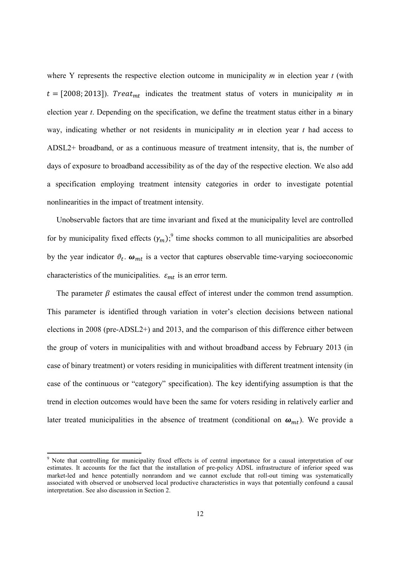where Y represents the respective election outcome in municipality *m* in election year *t* (with  $t = [2008; 2013]$ ). *Treat<sub>mt</sub>* indicates the treatment status of voters in municipality *m* in election year *t*. Depending on the specification, we define the treatment status either in a binary way, indicating whether or not residents in municipality *m* in election year *t* had access to ADSL2+ broadband, or as a continuous measure of treatment intensity, that is, the number of days of exposure to broadband accessibility as of the day of the respective election. We also add a specification employing treatment intensity categories in order to investigate potential nonlinearities in the impact of treatment intensity.

Unobservable factors that are time invariant and fixed at the municipality level are controlled for by municipality fixed effects  $(\gamma_m)$ ; time shocks common to all municipalities are absorbed by the year indicator  $\vartheta_t$ .  $\omega_{mt}$  is a vector that captures observable time-varying socioeconomic characteristics of the municipalities.  $\varepsilon_{mt}$  is an error term.

The parameter  $\beta$  estimates the causal effect of interest under the common trend assumption. This parameter is identified through variation in voter's election decisions between national elections in 2008 (pre-ADSL2+) and 2013, and the comparison of this difference either between the group of voters in municipalities with and without broadband access by February 2013 (in case of binary treatment) or voters residing in municipalities with different treatment intensity (in case of the continuous or "category" specification). The key identifying assumption is that the trend in election outcomes would have been the same for voters residing in relatively earlier and later treated municipalities in the absence of treatment (conditional on  $\omega_{mt}$ ). We provide a

<sup>9</sup> Note that controlling for municipality fixed effects is of central importance for a causal interpretation of our estimates. It accounts for the fact that the installation of pre-policy ADSL infrastructure of inferior speed was market-led and hence potentially nonrandom and we cannot exclude that roll-out timing was systematically associated with observed or unobserved local productive characteristics in ways that potentially confound a causal interpretation. See also discussion in Section 2.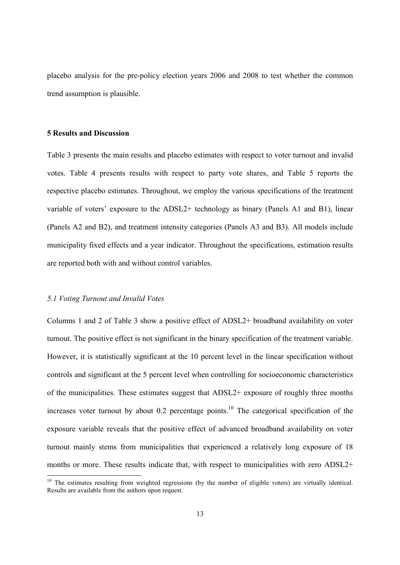placebo analysis for the pre-policy election years 2006 and 2008 to test whether the common trend assumption is plausible.

#### 5 Results and Discussion

Table 3 presents the main results and placebo estimates with respect to voter turnout and invalid votes. Table 4 presents results with respect to party vote shares, and Table 5 reports the respective placebo estimates. Throughout, we employ the various specifications of the treatment variable of voters' exposure to the ADSL2+ technology as binary (Panels A1 and B1), linear (Panels A2 and B2), and treatment intensity categories (Panels A3 and B3). All models include municipality fixed effects and a year indicator. Throughout the specifications, estimation results are reported both with and without control variables.

#### *5.1 Voting Turnout and Invalid Votes*

Columns 1 and 2 of Table 3 show a positive effect of ADSL2+ broadband availability on voter turnout. The positive effect is not significant in the binary specification of the treatment variable. However, it is statistically significant at the 10 percent level in the linear specification without controls and significant at the 5 percent level when controlling for socioeconomic characteristics of the municipalities. These estimates suggest that ADSL2+ exposure of roughly three months increases voter turnout by about  $0.2$  percentage points.<sup>10</sup> The categorical specification of the exposure variable reveals that the positive effect of advanced broadband availability on voter turnout mainly stems from municipalities that experienced a relatively long exposure of 18 months or more. These results indicate that, with respect to municipalities with zero ADSL2+

<sup>&</sup>lt;sup>10</sup> The estimates resulting from weighted regressions (by the number of eligible voters) are virtually identical. Results are available from the authors upon request.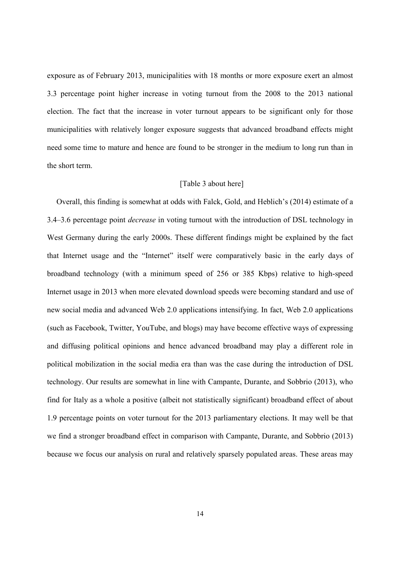exposure as of February 2013, municipalities with 18 months or more exposure exert an almost 3.3 percentage point higher increase in voting turnout from the 2008 to the 2013 national election. The fact that the increase in voter turnout appears to be significant only for those municipalities with relatively longer exposure suggests that advanced broadband effects might need some time to mature and hence are found to be stronger in the medium to long run than in the short term.

#### [Table 3 about here]

Overall, this finding is somewhat at odds with Falck, Gold, and Heblich's (2014) estimate of a 3.4–3.6 percentage point *decrease* in voting turnout with the introduction of DSL technology in West Germany during the early 2000s. These different findings might be explained by the fact that Internet usage and the "Internet" itself were comparatively basic in the early days of broadband technology (with a minimum speed of 256 or 385 Kbps) relative to high-speed Internet usage in 2013 when more elevated download speeds were becoming standard and use of new social media and advanced Web 2.0 applications intensifying. In fact, Web 2.0 applications (such as Facebook, Twitter, YouTube, and blogs) may have become effective ways of expressing and diffusing political opinions and hence advanced broadband may play a different role in political mobilization in the social media era than was the case during the introduction of DSL technology. Our results are somewhat in line with Campante, Durante, and Sobbrio (2013), who find for Italy as a whole a positive (albeit not statistically significant) broadband effect of about 1.9 percentage points on voter turnout for the 2013 parliamentary elections. It may well be that we find a stronger broadband effect in comparison with Campante, Durante, and Sobbrio (2013) because we focus our analysis on rural and relatively sparsely populated areas. These areas may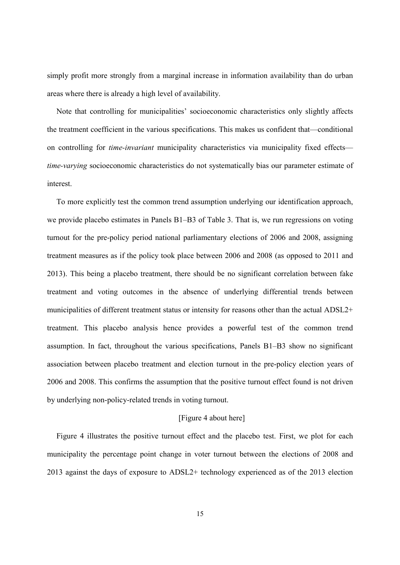simply profit more strongly from a marginal increase in information availability than do urban areas where there is already a high level of availability.

Note that controlling for municipalities' socioeconomic characteristics only slightly affects the treatment coefficient in the various specifications. This makes us confident that—conditional on controlling for *time-invariant* municipality characteristics via municipality fixed effects *time-varying* socioeconomic characteristics do not systematically bias our parameter estimate of interest.

To more explicitly test the common trend assumption underlying our identification approach, we provide placebo estimates in Panels B1–B3 of Table 3. That is, we run regressions on voting turnout for the pre-policy period national parliamentary elections of 2006 and 2008, assigning treatment measures as if the policy took place between 2006 and 2008 (as opposed to 2011 and 2013). This being a placebo treatment, there should be no significant correlation between fake treatment and voting outcomes in the absence of underlying differential trends between municipalities of different treatment status or intensity for reasons other than the actual ADSL2+ treatment. This placebo analysis hence provides a powerful test of the common trend assumption. In fact, throughout the various specifications, Panels B1–B3 show no significant association between placebo treatment and election turnout in the pre-policy election years of 2006 and 2008. This confirms the assumption that the positive turnout effect found is not driven by underlying non-policy-related trends in voting turnout.

#### [Figure 4 about here]

Figure 4 illustrates the positive turnout effect and the placebo test. First, we plot for each municipality the percentage point change in voter turnout between the elections of 2008 and 2013 against the days of exposure to ADSL2+ technology experienced as of the 2013 election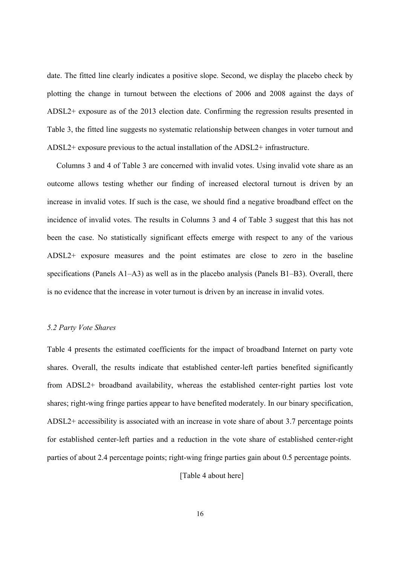date. The fitted line clearly indicates a positive slope. Second, we display the placebo check by plotting the change in turnout between the elections of 2006 and 2008 against the days of ADSL2+ exposure as of the 2013 election date. Confirming the regression results presented in Table 3, the fitted line suggests no systematic relationship between changes in voter turnout and ADSL2+ exposure previous to the actual installation of the ADSL2+ infrastructure.

Columns 3 and 4 of Table 3 are concerned with invalid votes. Using invalid vote share as an outcome allows testing whether our finding of increased electoral turnout is driven by an increase in invalid votes. If such is the case, we should find a negative broadband effect on the incidence of invalid votes. The results in Columns 3 and 4 of Table 3 suggest that this has not been the case. No statistically significant effects emerge with respect to any of the various ADSL2+ exposure measures and the point estimates are close to zero in the baseline specifications (Panels A1–A3) as well as in the placebo analysis (Panels B1–B3). Overall, there is no evidence that the increase in voter turnout is driven by an increase in invalid votes.

#### *5.2 Party Vote Shares*

Table 4 presents the estimated coefficients for the impact of broadband Internet on party vote shares. Overall, the results indicate that established center-left parties benefited significantly from ADSL2+ broadband availability, whereas the established center-right parties lost vote shares; right-wing fringe parties appear to have benefited moderately. In our binary specification, ADSL2+ accessibility is associated with an increase in vote share of about 3.7 percentage points for established center-left parties and a reduction in the vote share of established center-right parties of about 2.4 percentage points; right-wing fringe parties gain about 0.5 percentage points.

[Table 4 about here]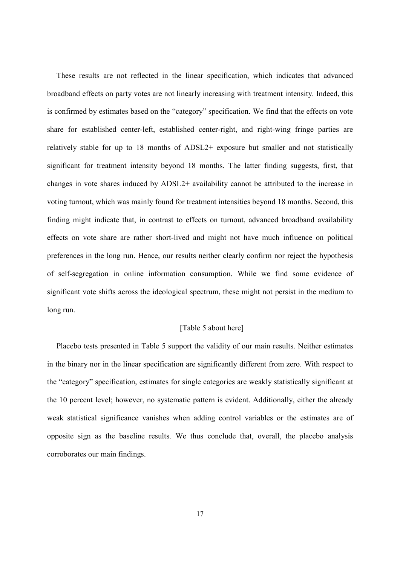These results are not reflected in the linear specification, which indicates that advanced broadband effects on party votes are not linearly increasing with treatment intensity. Indeed, this is confirmed by estimates based on the "category" specification. We find that the effects on vote share for established center-left, established center-right, and right-wing fringe parties are relatively stable for up to 18 months of ADSL2+ exposure but smaller and not statistically significant for treatment intensity beyond 18 months. The latter finding suggests, first, that changes in vote shares induced by ADSL2+ availability cannot be attributed to the increase in voting turnout, which was mainly found for treatment intensities beyond 18 months. Second, this finding might indicate that, in contrast to effects on turnout, advanced broadband availability effects on vote share are rather short-lived and might not have much influence on political preferences in the long run. Hence, our results neither clearly confirm nor reject the hypothesis of self-segregation in online information consumption. While we find some evidence of significant vote shifts across the ideological spectrum, these might not persist in the medium to long run.

#### [Table 5 about here]

Placebo tests presented in Table 5 support the validity of our main results. Neither estimates in the binary nor in the linear specification are significantly different from zero. With respect to the "category" specification, estimates for single categories are weakly statistically significant at the 10 percent level; however, no systematic pattern is evident. Additionally, either the already weak statistical significance vanishes when adding control variables or the estimates are of opposite sign as the baseline results. We thus conclude that, overall, the placebo analysis corroborates our main findings.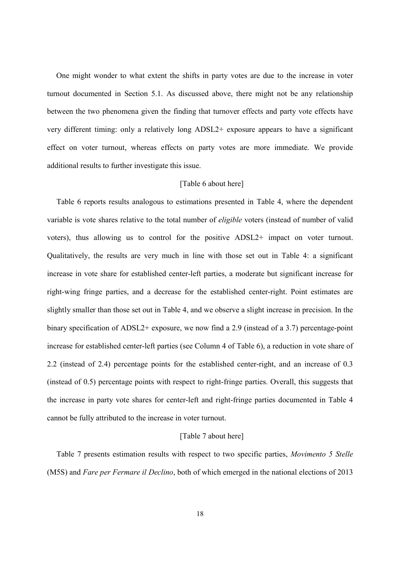One might wonder to what extent the shifts in party votes are due to the increase in voter turnout documented in Section 5.1. As discussed above, there might not be any relationship between the two phenomena given the finding that turnover effects and party vote effects have very different timing: only a relatively long ADSL2+ exposure appears to have a significant effect on voter turnout, whereas effects on party votes are more immediate. We provide additional results to further investigate this issue.

#### [Table 6 about here]

Table 6 reports results analogous to estimations presented in Table 4, where the dependent variable is vote shares relative to the total number of *eligible* voters (instead of number of valid voters), thus allowing us to control for the positive ADSL2+ impact on voter turnout. Qualitatively, the results are very much in line with those set out in Table 4: a significant increase in vote share for established center-left parties, a moderate but significant increase for right-wing fringe parties, and a decrease for the established center-right. Point estimates are slightly smaller than those set out in Table 4, and we observe a slight increase in precision. In the binary specification of ADSL2+ exposure, we now find a 2.9 (instead of a 3.7) percentage-point increase for established center-left parties (see Column 4 of Table 6), a reduction in vote share of 2.2 (instead of 2.4) percentage points for the established center-right, and an increase of 0.3 (instead of 0.5) percentage points with respect to right-fringe parties. Overall, this suggests that the increase in party vote shares for center-left and right-fringe parties documented in Table 4 cannot be fully attributed to the increase in voter turnout.

#### [Table 7 about here]

Table 7 presents estimation results with respect to two specific parties, *Movimento 5 Stelle* (M5S) and *Fare per Fermare il Declino*, both of which emerged in the national elections of 2013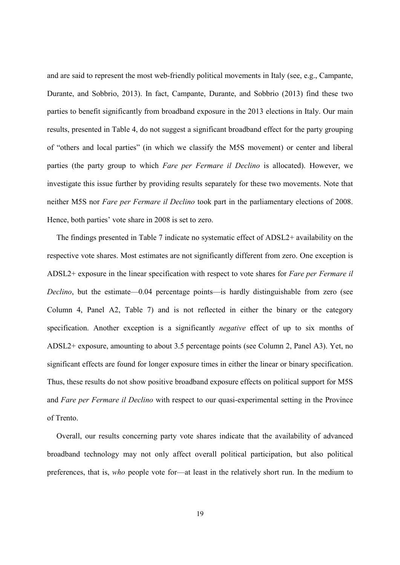and are said to represent the most web-friendly political movements in Italy (see, e.g., Campante, Durante, and Sobbrio, 2013). In fact, Campante, Durante, and Sobbrio (2013) find these two parties to benefit significantly from broadband exposure in the 2013 elections in Italy. Our main results, presented in Table 4, do not suggest a significant broadband effect for the party grouping of "others and local parties" (in which we classify the M5S movement) or center and liberal parties (the party group to which *Fare per Fermare il Declino* is allocated). However, we investigate this issue further by providing results separately for these two movements. Note that neither M5S nor *Fare per Fermare il Declino* took part in the parliamentary elections of 2008. Hence, both parties' vote share in 2008 is set to zero.

The findings presented in Table 7 indicate no systematic effect of ADSL2+ availability on the respective vote shares. Most estimates are not significantly different from zero. One exception is ADSL2+ exposure in the linear specification with respect to vote shares for *Fare per Fermare il Declino*, but the estimate—0.04 percentage points—is hardly distinguishable from zero (see Column 4, Panel A2, Table 7) and is not reflected in either the binary or the category specification. Another exception is a significantly *negative* effect of up to six months of ADSL2+ exposure, amounting to about 3.5 percentage points (see Column 2, Panel A3). Yet, no significant effects are found for longer exposure times in either the linear or binary specification. Thus, these results do not show positive broadband exposure effects on political support for M5S and *Fare per Fermare il Declino* with respect to our quasi-experimental setting in the Province of Trento.

Overall, our results concerning party vote shares indicate that the availability of advanced broadband technology may not only affect overall political participation, but also political preferences, that is, *who* people vote for—at least in the relatively short run. In the medium to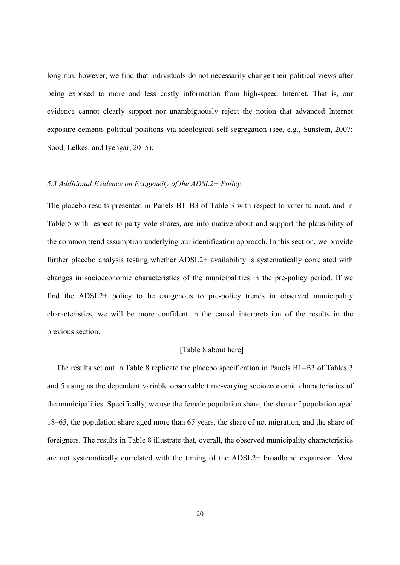long run, however, we find that individuals do not necessarily change their political views after being exposed to more and less costly information from high-speed Internet. That is, our evidence cannot clearly support nor unambiguously reject the notion that advanced Internet exposure cements political positions via ideological self-segregation (see, e.g., Sunstein, 2007; Sood, Lelkes, and Iyengar, 2015).

#### *5.3 Additional Evidence on Exogeneity of the ADSL2+ Policy*

The placebo results presented in Panels B1–B3 of Table 3 with respect to voter turnout, and in Table 5 with respect to party vote shares, are informative about and support the plausibility of the common trend assumption underlying our identification approach. In this section, we provide further placebo analysis testing whether ADSL2+ availability is systematically correlated with changes in socioeconomic characteristics of the municipalities in the pre-policy period. If we find the ADSL2+ policy to be exogenous to pre-policy trends in observed municipality characteristics, we will be more confident in the causal interpretation of the results in the previous section.

#### [Table 8 about here]

The results set out in Table 8 replicate the placebo specification in Panels B1–B3 of Tables 3 and 5 using as the dependent variable observable time-varying socioeconomic characteristics of the municipalities. Specifically, we use the female population share, the share of population aged 18–65, the population share aged more than 65 years, the share of net migration, and the share of foreigners. The results in Table 8 illustrate that, overall, the observed municipality characteristics are not systematically correlated with the timing of the ADSL2+ broadband expansion. Most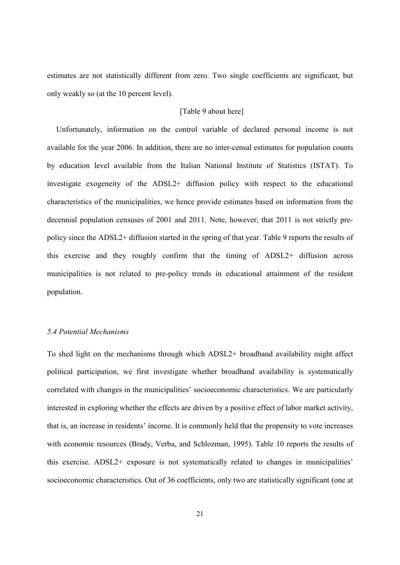estimates are not statistically different from zero. Two single coefficients are significant, but only weakly so (at the 10 percent level).

#### [Table 9 about here]

Unfortunately, information on the control variable of declared personal income is not available for the year 2006. In addition, there are no inter-censal estimates for population counts by education level available from the Italian National Institute of Statistics (ISTAT). To investigate exogeneity of the ADSL2+ diffusion policy with respect to the educational characteristics of the municipalities, we hence provide estimates based on information from the decennial population censuses of 2001 and 2011. Note, however, that 2011 is not strictly prepolicy since the ADSL2+ diffusion started in the spring of that year. Table 9 reports the results of this exercise and they roughly confirm that the timing of ADSL2+ diffusion across municipalities is not related to pre-policy trends in educational attainment of the resident population.

### *5.4 Potential Mechanisms*

To shed light on the mechanisms through which ADSL2+ broadband availability might affect political participation, we first investigate whether broadband availability is systematically correlated with changes in the municipalities' socioeconomic characteristics. We are particularly interested in exploring whether the effects are driven by a positive effect of labor market activity, that is, an increase in residents' income. It is commonly held that the propensity to vote increases with economic resources (Brady, Verba, and Schlozman, 1995). Table 10 reports the results of this exercise. ADSL2+ exposure is not systematically related to changes in municipalities' socioeconomic characteristics. Out of 36 coefficients, only two are statistically significant (one at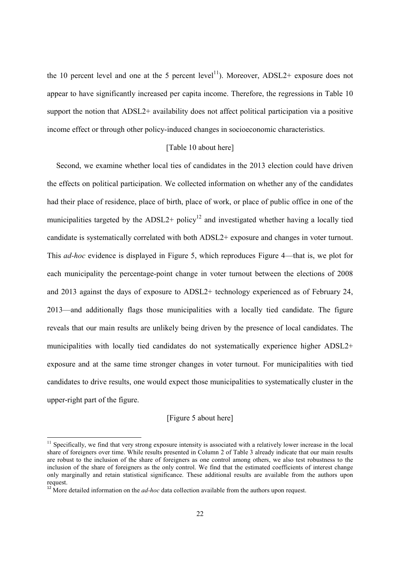the 10 percent level and one at the 5 percent level<sup>11</sup>). Moreover, ADSL2+ exposure does not appear to have significantly increased per capita income. Therefore, the regressions in Table 10 support the notion that ADSL2+ availability does not affect political participation via a positive income effect or through other policy-induced changes in socioeconomic characteristics.

#### [Table 10 about here]

Second, we examine whether local ties of candidates in the 2013 election could have driven the effects on political participation. We collected information on whether any of the candidates had their place of residence, place of birth, place of work, or place of public office in one of the municipalities targeted by the ADSL2+ policy<sup>12</sup> and investigated whether having a locally tied candidate is systematically correlated with both ADSL2+ exposure and changes in voter turnout. This *ad-hoc* evidence is displayed in Figure 5, which reproduces Figure 4—that is, we plot for each municipality the percentage-point change in voter turnout between the elections of 2008 and 2013 against the days of exposure to ADSL2+ technology experienced as of February 24, 2013—and additionally flags those municipalities with a locally tied candidate. The figure reveals that our main results are unlikely being driven by the presence of local candidates. The municipalities with locally tied candidates do not systematically experience higher ADSL2+ exposure and at the same time stronger changes in voter turnout. For municipalities with tied candidates to drive results, one would expect those municipalities to systematically cluster in the upper-right part of the figure.

#### [Figure 5 about here]

 $11$  Specifically, we find that very strong exposure intensity is associated with a relatively lower increase in the local share of foreigners over time. While results presented in Column 2 of Table 3 already indicate that our main results are robust to the inclusion of the share of foreigners as one control among others, we also test robustness to the inclusion of the share of foreigners as the only control. We find that the estimated coefficients of interest change only marginally and retain statistical significance. These additional results are available from the authors upon request.

<sup>&</sup>lt;sup>12</sup> More detailed information on the *ad-hoc* data collection available from the authors upon request.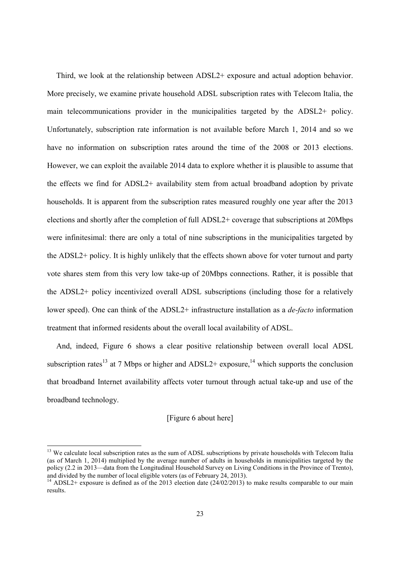Third, we look at the relationship between ADSL2+ exposure and actual adoption behavior. More precisely, we examine private household ADSL subscription rates with Telecom Italia, the main telecommunications provider in the municipalities targeted by the ADSL2+ policy. Unfortunately, subscription rate information is not available before March 1, 2014 and so we have no information on subscription rates around the time of the 2008 or 2013 elections. However, we can exploit the available 2014 data to explore whether it is plausible to assume that the effects we find for ADSL2+ availability stem from actual broadband adoption by private households. It is apparent from the subscription rates measured roughly one year after the 2013 elections and shortly after the completion of full ADSL2+ coverage that subscriptions at 20Mbps were infinitesimal: there are only a total of nine subscriptions in the municipalities targeted by the ADSL2+ policy. It is highly unlikely that the effects shown above for voter turnout and party vote shares stem from this very low take-up of 20Mbps connections. Rather, it is possible that the ADSL2+ policy incentivized overall ADSL subscriptions (including those for a relatively lower speed). One can think of the ADSL2+ infrastructure installation as a *de-facto* information treatment that informed residents about the overall local availability of ADSL.

And, indeed, Figure 6 shows a clear positive relationship between overall local ADSL subscription rates<sup>13</sup> at 7 Mbps or higher and ADSL2+ exposure,<sup>14</sup> which supports the conclusion that broadband Internet availability affects voter turnout through actual take-up and use of the broadband technology.

#### [Figure 6 about here]

<sup>&</sup>lt;sup>13</sup> We calculate local subscription rates as the sum of ADSL subscriptions by private households with Telecom Italia (as of March 1, 2014) multiplied by the average number of adults in households in municipalities targeted by the policy (2.2 in 2013—data from the Longitudinal Household Survey on Living Conditions in the Province of Trento), and divided by the number of local eligible voters (as of February 24, 2013).

<sup>&</sup>lt;sup>14</sup> ADSL2+ exposure is defined as of the 2013 election date (24/02/2013) to make results comparable to our main results.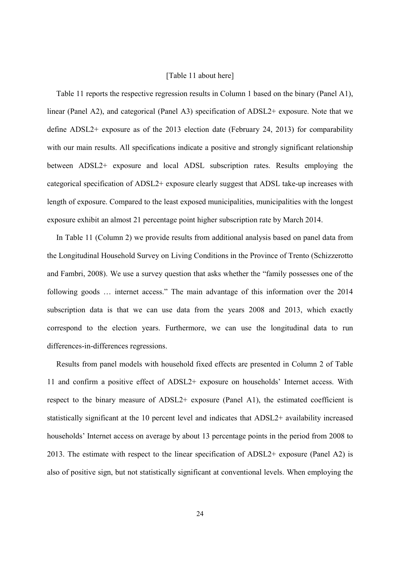#### [Table 11 about here]

Table 11 reports the respective regression results in Column 1 based on the binary (Panel A1), linear (Panel A2), and categorical (Panel A3) specification of ADSL2+ exposure. Note that we define ADSL2+ exposure as of the 2013 election date (February 24, 2013) for comparability with our main results. All specifications indicate a positive and strongly significant relationship between ADSL2+ exposure and local ADSL subscription rates. Results employing the categorical specification of ADSL2+ exposure clearly suggest that ADSL take-up increases with length of exposure. Compared to the least exposed municipalities, municipalities with the longest exposure exhibit an almost 21 percentage point higher subscription rate by March 2014.

In Table 11 (Column 2) we provide results from additional analysis based on panel data from the Longitudinal Household Survey on Living Conditions in the Province of Trento (Schizzerotto and Fambri, 2008). We use a survey question that asks whether the "family possesses one of the following goods … internet access." The main advantage of this information over the 2014 subscription data is that we can use data from the years 2008 and 2013, which exactly correspond to the election years. Furthermore, we can use the longitudinal data to run differences-in-differences regressions.

Results from panel models with household fixed effects are presented in Column 2 of Table 11 and confirm a positive effect of ADSL2+ exposure on households' Internet access. With respect to the binary measure of ADSL2+ exposure (Panel A1), the estimated coefficient is statistically significant at the 10 percent level and indicates that ADSL2+ availability increased households' Internet access on average by about 13 percentage points in the period from 2008 to 2013. The estimate with respect to the linear specification of ADSL2+ exposure (Panel A2) is also of positive sign, but not statistically significant at conventional levels. When employing the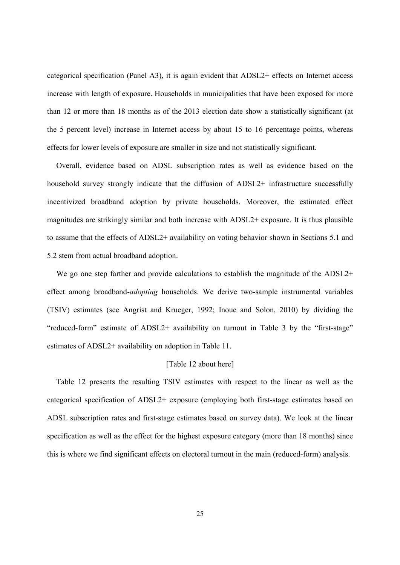categorical specification (Panel A3), it is again evident that ADSL2+ effects on Internet access increase with length of exposure. Households in municipalities that have been exposed for more than 12 or more than 18 months as of the 2013 election date show a statistically significant (at the 5 percent level) increase in Internet access by about 15 to 16 percentage points, whereas effects for lower levels of exposure are smaller in size and not statistically significant.

Overall, evidence based on ADSL subscription rates as well as evidence based on the household survey strongly indicate that the diffusion of ADSL2+ infrastructure successfully incentivized broadband adoption by private households. Moreover, the estimated effect magnitudes are strikingly similar and both increase with ADSL2+ exposure. It is thus plausible to assume that the effects of ADSL2+ availability on voting behavior shown in Sections 5.1 and 5.2 stem from actual broadband adoption.

We go one step farther and provide calculations to establish the magnitude of the ADSL2+ effect among broadband-*adopting* households. We derive two-sample instrumental variables (TSIV) estimates (see Angrist and Krueger, 1992; Inoue and Solon, 2010) by dividing the "reduced-form" estimate of ADSL2+ availability on turnout in Table 3 by the "first-stage" estimates of ADSL2+ availability on adoption in Table 11.

#### [Table 12 about here]

Table 12 presents the resulting TSIV estimates with respect to the linear as well as the categorical specification of ADSL2+ exposure (employing both first-stage estimates based on ADSL subscription rates and first-stage estimates based on survey data). We look at the linear specification as well as the effect for the highest exposure category (more than 18 months) since this is where we find significant effects on electoral turnout in the main (reduced-form) analysis.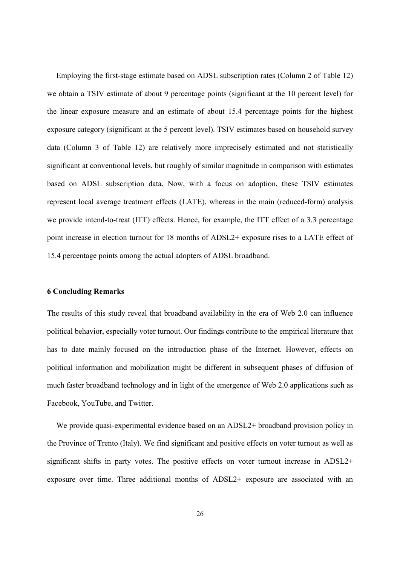Employing the first-stage estimate based on ADSL subscription rates (Column 2 of Table 12) we obtain a TSIV estimate of about 9 percentage points (significant at the 10 percent level) for the linear exposure measure and an estimate of about 15.4 percentage points for the highest exposure category (significant at the 5 percent level). TSIV estimates based on household survey data (Column 3 of Table 12) are relatively more imprecisely estimated and not statistically significant at conventional levels, but roughly of similar magnitude in comparison with estimates based on ADSL subscription data. Now, with a focus on adoption, these TSIV estimates represent local average treatment effects (LATE), whereas in the main (reduced-form) analysis we provide intend-to-treat (ITT) effects. Hence, for example, the ITT effect of a 3.3 percentage point increase in election turnout for 18 months of ADSL2+ exposure rises to a LATE effect of 15.4 percentage points among the actual adopters of ADSL broadband.

#### 6 Concluding Remarks

The results of this study reveal that broadband availability in the era of Web 2.0 can influence political behavior, especially voter turnout. Our findings contribute to the empirical literature that has to date mainly focused on the introduction phase of the Internet. However, effects on political information and mobilization might be different in subsequent phases of diffusion of much faster broadband technology and in light of the emergence of Web 2.0 applications such as Facebook, YouTube, and Twitter.

We provide quasi-experimental evidence based on an ADSL2+ broadband provision policy in the Province of Trento (Italy). We find significant and positive effects on voter turnout as well as significant shifts in party votes. The positive effects on voter turnout increase in ADSL2+ exposure over time. Three additional months of ADSL2+ exposure are associated with an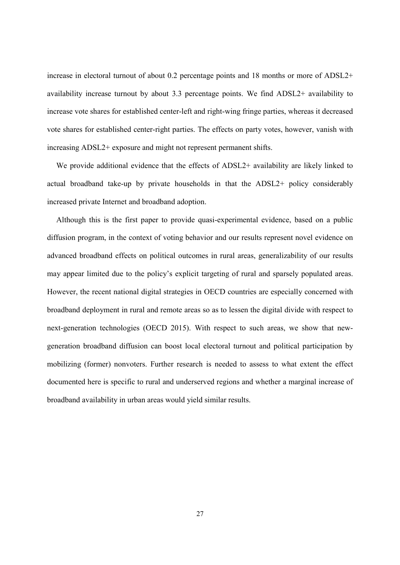increase in electoral turnout of about 0.2 percentage points and 18 months or more of ADSL2+ availability increase turnout by about 3.3 percentage points. We find ADSL2+ availability to increase vote shares for established center-left and right-wing fringe parties, whereas it decreased vote shares for established center-right parties. The effects on party votes, however, vanish with increasing ADSL2+ exposure and might not represent permanent shifts.

We provide additional evidence that the effects of ADSL2+ availability are likely linked to actual broadband take-up by private households in that the ADSL2+ policy considerably increased private Internet and broadband adoption.

Although this is the first paper to provide quasi-experimental evidence, based on a public diffusion program, in the context of voting behavior and our results represent novel evidence on advanced broadband effects on political outcomes in rural areas, generalizability of our results may appear limited due to the policy's explicit targeting of rural and sparsely populated areas. However, the recent national digital strategies in OECD countries are especially concerned with broadband deployment in rural and remote areas so as to lessen the digital divide with respect to next-generation technologies (OECD 2015). With respect to such areas, we show that newgeneration broadband diffusion can boost local electoral turnout and political participation by mobilizing (former) nonvoters. Further research is needed to assess to what extent the effect documented here is specific to rural and underserved regions and whether a marginal increase of broadband availability in urban areas would yield similar results.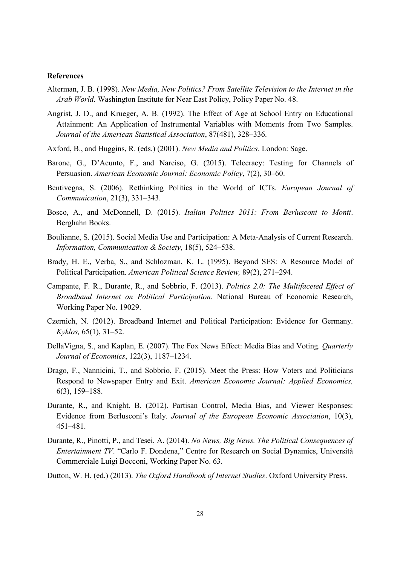#### References

- Alterman, J. B. (1998). *New Media, New Politics? From Satellite Television to the Internet in the Arab World*. Washington Institute for Near East Policy, Policy Paper No. 48.
- Angrist, J. D., and Krueger, A. B. (1992). The Effect of Age at School Entry on Educational Attainment: An Application of Instrumental Variables with Moments from Two Samples. *Journal of the American Statistical Association*, 87(481), 328–336.
- Axford, B., and Huggins, R. (eds.) (2001). *New Media and Politics*. London: Sage.
- Barone, G., D'Acunto, F., and Narciso, G. (2015). Telecracy: Testing for Channels of Persuasion. *American Economic Journal: Economic Policy*, 7(2), 30–60.
- Bentivegna, S. (2006). Rethinking Politics in the World of ICTs. *European Journal of Communication*, 21(3), 331–343.
- Bosco, A., and McDonnell, D. (2015). *Italian Politics 2011: From Berlusconi to Monti*. Berghahn Books.
- Boulianne, S. (2015). Social Media Use and Participation: A Meta-Analysis of Current Research. *Information, Communication & Society*, 18(5), 524–538.
- Brady, H. E., Verba, S., and Schlozman, K. L. (1995). Beyond SES: A Resource Model of Political Participation. *American Political Science Review,* 89(2), 271–294.
- Campante, F. R., Durante, R., and Sobbrio, F. (2013). *Politics 2.0: The Multifaceted Effect of Broadband Internet on Political Participation.* National Bureau of Economic Research, Working Paper No. 19029.
- Czernich, N. (2012). Broadband Internet and Political Participation: Evidence for Germany. *Kyklos,* 65(1), 31–52.
- DellaVigna, S., and Kaplan, E. (2007). The Fox News Effect: Media Bias and Voting. *Quarterly Journal of Economics*, 122(3), 1187–1234.
- Drago, F., Nannicini, T., and Sobbrio, F. (2015). Meet the Press: How Voters and Politicians Respond to Newspaper Entry and Exit. *American Economic Journal: Applied Economics,*  6(3), 159–188.
- Durante, R., and Knight. B. (2012). Partisan Control, Media Bias, and Viewer Responses: Evidence from Berlusconi's Italy. *Journal of the European Economic Association*, 10(3), 451–481.
- Durante, R., Pinotti, P., and Tesei, A. (2014). *No News, Big News. The Political Consequences of Entertainment TV*. "Carlo F. Dondena," Centre for Research on Social Dynamics, Università Commerciale Luigi Bocconi, Working Paper No. 63.
- Dutton, W. H. (ed.) (2013). *The Oxford Handbook of Internet Studies*. Oxford University Press.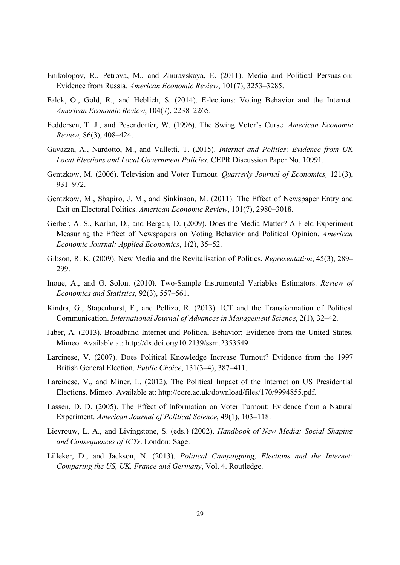- Enikolopov, R., Petrova, M., and Zhuravskaya, E. (2011). Media and Political Persuasion: Evidence from Russia*. American Economic Review*, 101(7), 3253–3285.
- Falck, O., Gold, R., and Heblich, S. (2014). E-lections: Voting Behavior and the Internet. *American Economic Review*, 104(7), 2238–2265.
- Feddersen, T. J., and Pesendorfer, W. (1996). The Swing Voter's Curse. *American Economic Review,* 86(3), 408–424.
- Gavazza, A., Nardotto, M., and Valletti, T. (2015). *Internet and Politics: Evidence from UK Local Elections and Local Government Policies.* CEPR Discussion Paper No. 10991.
- Gentzkow, M. (2006). Television and Voter Turnout. *Quarterly Journal of Economics,* 121(3), 931–972.
- Gentzkow, M., Shapiro, J. M., and Sinkinson, M. (2011). The Effect of Newspaper Entry and Exit on Electoral Politics. *American Economic Review*, 101(7), 2980–3018.
- Gerber, A. S., Karlan, D., and Bergan, D. (2009). Does the Media Matter? A Field Experiment Measuring the Effect of Newspapers on Voting Behavior and Political Opinion. *American Economic Journal: Applied Economics*, 1(2), 35–52.
- Gibson, R. K. (2009). New Media and the Revitalisation of Politics. *Representation*, 45(3), 289– 299.
- Inoue, A., and G. Solon. (2010). Two-Sample Instrumental Variables Estimators. *Review of Economics and Statistics*, 92(3), 557–561.
- Kindra, G., Stapenhurst, F., and Pellizo, R. (2013). ICT and the Transformation of Political Communication. *International Journal of Advances in Management Science*, 2(1), 32–42.
- Jaber, A. (2013). Broadband Internet and Political Behavior: Evidence from the United States. Mimeo. Available at: http://dx.doi.org/10.2139/ssrn.2353549.
- Larcinese, V. (2007). Does Political Knowledge Increase Turnout? Evidence from the 1997 British General Election. *Public Choice*, 131(3–4), 387–411.
- Larcinese, V., and Miner, L. (2012). The Political Impact of the Internet on US Presidential Elections. Mimeo. Available at: http://core.ac.uk/download/files/170/9994855.pdf.
- Lassen, D. D. (2005). The Effect of Information on Voter Turnout: Evidence from a Natural Experiment. *American Journal of Political Science*, 49(1), 103–118.
- Lievrouw, L. A., and Livingstone, S. (eds.) (2002). *Handbook of New Media: Social Shaping and Consequences of ICTs*. London: Sage.
- Lilleker, D., and Jackson, N. (2013). *Political Campaigning, Elections and the Internet: Comparing the US, UK, France and Germany*, Vol. 4. Routledge.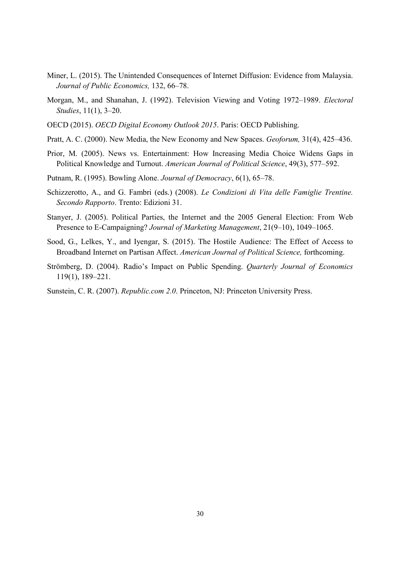- Miner, L. (2015). The Unintended Consequences of Internet Diffusion: Evidence from Malaysia. *Journal of Public Economics,* 132, 66–78.
- Morgan, M., and Shanahan, J. (1992). Television Viewing and Voting 1972–1989. *Electoral Studies*, 11(1), 3–20.
- OECD (2015). *OECD Digital Economy Outlook 2015*. Paris: OECD Publishing.
- Pratt, A. C. (2000). New Media, the New Economy and New Spaces. *Geoforum,* 31(4), 425–436.
- Prior, M. (2005). News vs. Entertainment: How Increasing Media Choice Widens Gaps in Political Knowledge and Turnout. *American Journal of Political Science*, 49(3), 577–592.
- Putnam, R. (1995). Bowling Alone. *Journal of Democracy*, 6(1), 65–78.
- Schizzerotto, A., and G. Fambri (eds.) (2008). *Le Condizioni di Vita delle Famiglie Trentine. Secondo Rapporto*. Trento: Edizioni 31.
- Stanyer, J. (2005). Political Parties, the Internet and the 2005 General Election: From Web Presence to E-Campaigning? *Journal of Marketing Management*, 21(9–10), 1049–1065.
- Sood, G., Lelkes, Y., and Iyengar, S. (2015). The Hostile Audience: The Effect of Access to Broadband Internet on Partisan Affect. *American Journal of Political Science,* forthcoming.
- Strömberg, D. (2004). Radio's Impact on Public Spending. *Quarterly Journal of Economics* 119(1), 189–221.
- Sunstein, C. R. (2007). *Republic.com 2.0*. Princeton, NJ: Princeton University Press.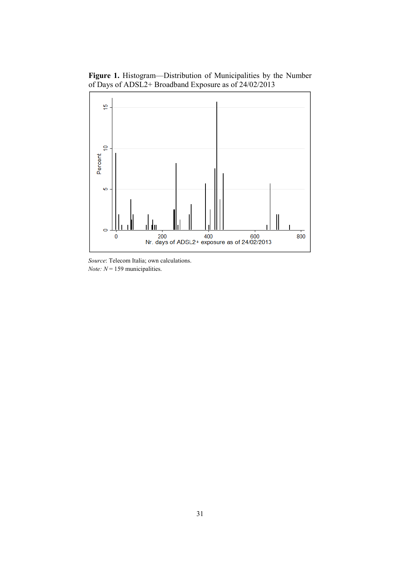Figure 1. Histogram—Distribution of Municipalities by the Number of Days of ADSL2+ Broadband Exposure as of 24/02/2013



*Source*: Telecom Italia; own calculations. *Note:*  $N = 159$  municipalities.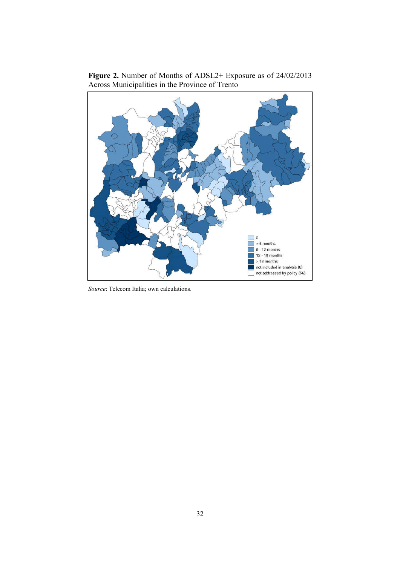



*Source*: Telecom Italia; own calculations.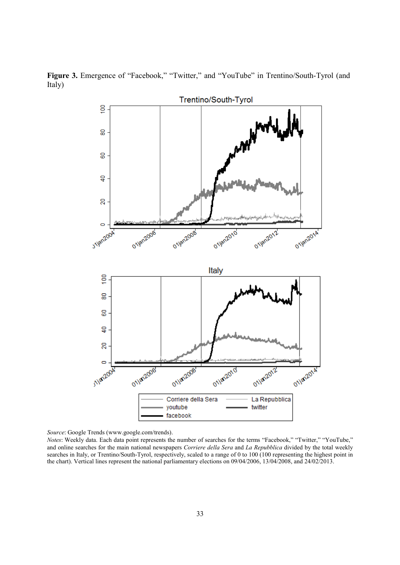Figure 3. Emergence of "Facebook," "Twitter," and "YouTube" in Trentino/South-Tyrol (and Italy)



*Source*: Google Trends (www.google.com/trends).

*Notes*: Weekly data. Each data point represents the number of searches for the terms "Facebook," "Twitter," "YouTube," and online searches for the main national newspapers *Corriere della Sera* and *La Repubblica* divided by the total weekly searches in Italy, or Trentino/South-Tyrol, respectively, scaled to a range of 0 to 100 (100 representing the highest point in the chart). Vertical lines represent the national parliamentary elections on 09/04/2006, 13/04/2008, and 24/02/2013.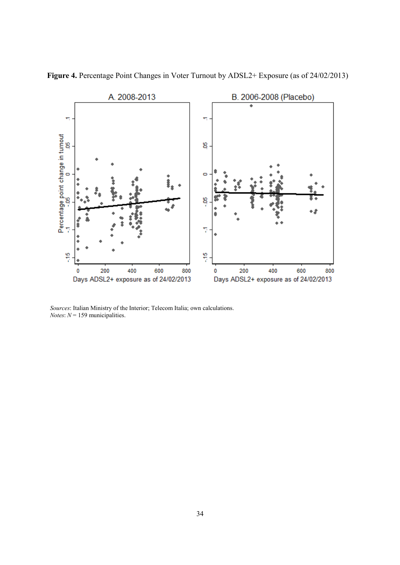

Figure 4. Percentage Point Changes in Voter Turnout by ADSL2+ Exposure (as of 24/02/2013)

*Sources*: Italian Ministry of the Interior; Telecom Italia; own calculations. *Notes*:  $N = 159$  municipalities.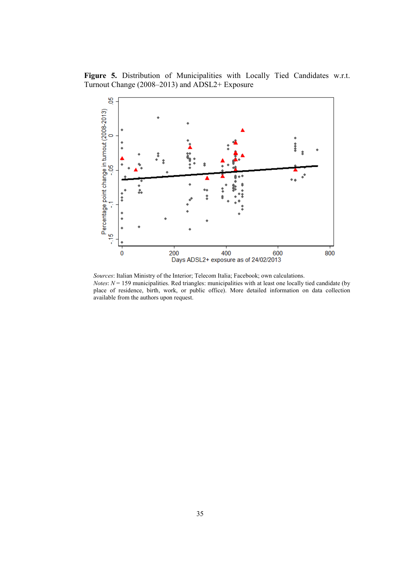Figure 5. Distribution of Municipalities with Locally Tied Candidates w.r.t. Turnout Change (2008–2013) and ADSL2+ Exposure



*Sources*: Italian Ministry of the Interior; Telecom Italia; Facebook; own calculations. *Notes*:  $N = 159$  municipalities. Red triangles: municipalities with at least one locally tied candidate (by place of residence, birth, work, or public office). More detailed information on data collection available from the authors upon request.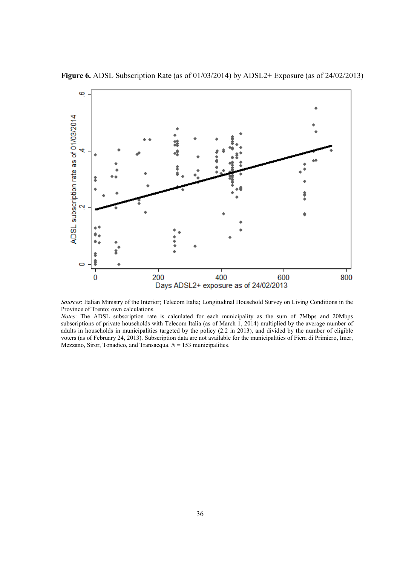

Figure 6. ADSL Subscription Rate (as of 01/03/2014) by ADSL2+ Exposure (as of 24/02/2013)

*Sources*: Italian Ministry of the Interior; Telecom Italia; Longitudinal Household Survey on Living Conditions in the Province of Trento; own calculations.

*Notes*: The ADSL subscription rate is calculated for each municipality as the sum of 7Mbps and 20Mbps subscriptions of private households with Telecom Italia (as of March 1, 2014) multiplied by the average number of adults in households in municipalities targeted by the policy (2.2 in 2013), and divided by the number of eligible voters (as of February 24, 2013). Subscription data are not available for the municipalities of Fiera di Primiero, Imer, Mezzano, Siror, Tonadico, and Transacqua. *N* = 153 municipalities.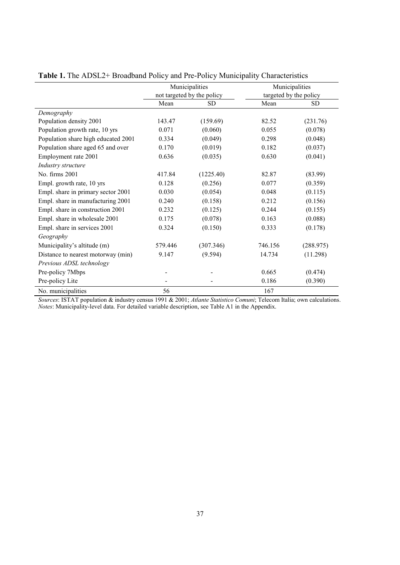|                                     |         | Municipalities             | Municipalities |                        |  |
|-------------------------------------|---------|----------------------------|----------------|------------------------|--|
|                                     |         | not targeted by the policy |                | targeted by the policy |  |
|                                     | Mean    | <b>SD</b>                  | Mean           | <b>SD</b>              |  |
| Demography                          |         |                            |                |                        |  |
| Population density 2001             | 143.47  | (159.69)                   | 82.52          | (231.76)               |  |
| Population growth rate, 10 yrs      | 0.071   | (0.060)                    | 0.055          | (0.078)                |  |
| Population share high educated 2001 | 0.334   | (0.049)                    | 0.298          | (0.048)                |  |
| Population share aged 65 and over   | 0.170   | (0.019)                    | 0.182          | (0.037)                |  |
| Employment rate 2001                | 0.636   | (0.035)                    | 0.630          | (0.041)                |  |
| Industry structure                  |         |                            |                |                        |  |
| No. firms 2001                      | 417.84  | (1225.40)                  | 82.87          | (83.99)                |  |
| Empl. growth rate, 10 yrs           | 0.128   | (0.256)                    | 0.077          | (0.359)                |  |
| Empl. share in primary sector 2001  | 0.030   | (0.054)                    | 0.048          | (0.115)                |  |
| Empl. share in manufacturing 2001   | 0.240   | (0.158)                    | 0.212          | (0.156)                |  |
| Empl. share in construction 2001    | 0.232   | (0.125)                    | 0.244          | (0.155)                |  |
| Empl. share in wholesale 2001       | 0.175   | (0.078)                    | 0.163          | (0.088)                |  |
| Empl. share in services 2001        | 0.324   | (0.150)                    | 0.333          | (0.178)                |  |
| Geography                           |         |                            |                |                        |  |
| Municipality's altitude (m)         | 579.446 | (307.346)                  | 746.156        | (288.975)              |  |
| Distance to nearest motorway (min)  | 9.147   | (9.594)                    | 14.734         | (11.298)               |  |
| Previous ADSL technology            |         |                            |                |                        |  |
| Pre-policy 7Mbps                    |         |                            | 0.665          | (0.474)                |  |
| Pre-policy Lite                     |         |                            | 0.186          | (0.390)                |  |
| No. municipalities                  | 56      |                            | 167            |                        |  |

Table 1. The ADSL2+ Broadband Policy and Pre-Policy Municipality Characteristics

*Sources*: ISTAT population & industry census 1991 & 2001; *Atlante Statistico Comuni*; Telecom Italia; own calculations. *Notes*: Municipality-level data. For detailed variable description, see Table A1 in the Appendix.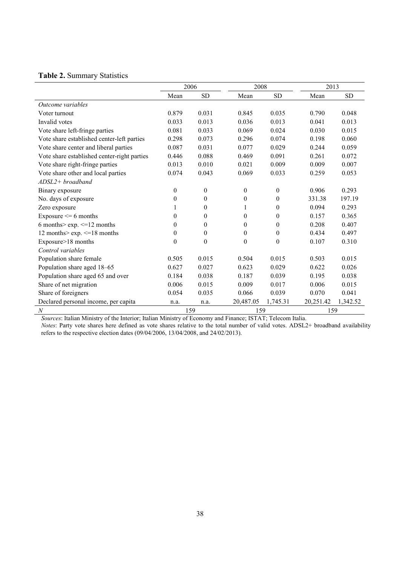### Table 2. Summary Statistics

|                                             |          | 2006         | 2008             |                |           | 2013      |  |  |
|---------------------------------------------|----------|--------------|------------------|----------------|-----------|-----------|--|--|
|                                             | Mean     | <b>SD</b>    | Mean             | <b>SD</b>      | Mean      | <b>SD</b> |  |  |
| Outcome variables                           |          |              |                  |                |           |           |  |  |
| Voter turnout                               | 0.879    | 0.031        | 0.845            | 0.035          | 0.790     | 0.048     |  |  |
| Invalid votes                               | 0.033    | 0.013        | 0.036            | 0.013          | 0.041     | 0.013     |  |  |
| Vote share left-fringe parties              | 0.081    | 0.033        | 0.069            | 0.024          | 0.030     | 0.015     |  |  |
| Vote share established center-left parties  | 0.298    | 0.073        | 0.296            | 0.074          | 0.198     | 0.060     |  |  |
| Vote share center and liberal parties       | 0.087    | 0.031        | 0.077            | 0.029          | 0.244     | 0.059     |  |  |
| Vote share established center-right parties | 0.446    | 0.088        | 0.469            | 0.091          | 0.261     | 0.072     |  |  |
| Vote share right-fringe parties             | 0.013    | 0.010        | 0.021            | 0.009          | 0.009     | 0.007     |  |  |
| Vote share other and local parties          | 0.074    | 0.043        | 0.069            | 0.033          | 0.259     | 0.053     |  |  |
| $ADSL2 + broadband$                         |          |              |                  |                |           |           |  |  |
| Binary exposure                             | $\theta$ | $\theta$     | $\theta$         | $\theta$       | 0.906     | 0.293     |  |  |
| No. days of exposure                        | $\theta$ | $\theta$     | $\boldsymbol{0}$ | $\overline{0}$ | 331.38    | 197.19    |  |  |
| Zero exposure                               | 1        | $\theta$     | 1                | $\overline{0}$ | 0.094     | 0.293     |  |  |
| Exposure $\leq 6$ months                    | $\theta$ | $\theta$     | 0                | $\theta$       | 0.157     | 0.365     |  |  |
| 6 months> exp. $\leq$ =12 months            | $\theta$ | $\theta$     | $\theta$         | $\theta$       | 0.208     | 0.407     |  |  |
| 12 months> $\exp$ . $\leq$ =18 months       | $\theta$ | $\theta$     | $\boldsymbol{0}$ | $\theta$       | 0.434     | 0.497     |  |  |
| Exposure>18 months                          | $\theta$ | $\mathbf{0}$ | $\boldsymbol{0}$ | $\theta$       | 0.107     | 0.310     |  |  |
| Control variables                           |          |              |                  |                |           |           |  |  |
| Population share female                     | 0.505    | 0.015        | 0.504            | 0.015          | 0.503     | 0.015     |  |  |
| Population share aged 18-65                 | 0.627    | 0.027        | 0.623            | 0.029          | 0.622     | 0.026     |  |  |
| Population share aged 65 and over           | 0.184    | 0.038        | 0.187            | 0.039          | 0.195     | 0.038     |  |  |
| Share of net migration                      | 0.006    | 0.015        | 0.009            | 0.017          | 0.006     | 0.015     |  |  |
| Share of foreigners                         | 0.054    | 0.035        | 0.066            | 0.039          | 0.070     | 0.041     |  |  |
| Declared personal income, per capita        | n.a.     | n.a.         | 20,487.05        | 1,745.31       | 20,251.42 | 1,342.52  |  |  |
| $\boldsymbol{N}$                            |          | 159          | 159              |                | 159       |           |  |  |

*Sources*: Italian Ministry of the Interior; Italian Ministry of Economy and Finance; ISTAT; Telecom Italia.

*Notes*: Party vote shares here defined as vote shares relative to the total number of valid votes. ADSL2+ broadband availability refers to the respective election dates (09/04/2006, 13/04/2008, and 24/02/2013).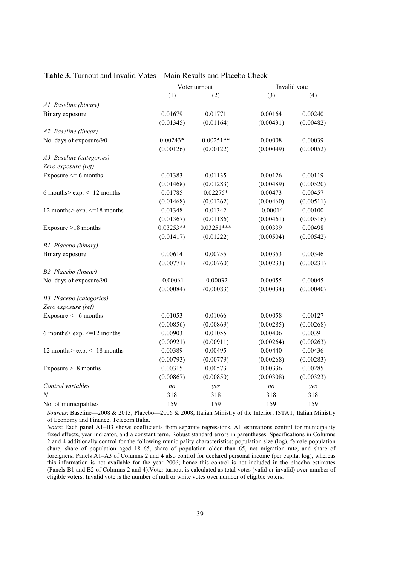|                                  | Voter turnout  |              |                | Invalid vote |
|----------------------------------|----------------|--------------|----------------|--------------|
|                                  | (1)            | (2)          | (3)            | (4)          |
| A1. Baseline (binary)            |                |              |                |              |
| Binary exposure                  | 0.01679        | 0.01771      | 0.00164        | 0.00240      |
|                                  | (0.01345)      | (0.01164)    | (0.00431)      | (0.00482)    |
| A2. Baseline (linear)            |                |              |                |              |
| No. days of exposure/90          | $0.00243*$     | $0.00251**$  | 0.00008        | 0.00039      |
|                                  | (0.00126)      | (0.00122)    | (0.00049)      | (0.00052)    |
| A3. Baseline (categories)        |                |              |                |              |
| Zero exposure (ref)              |                |              |                |              |
| Exposure $\leq 6$ months         | 0.01383        | 0.01135      | 0.00126        | 0.00119      |
|                                  | (0.01468)      | (0.01283)    | (0.00489)      | (0.00520)    |
| 6 months> $exp. \le 12$ months   | 0.01785        | $0.02275*$   | 0.00473        | 0.00457      |
|                                  | (0.01468)      | (0.01262)    | (0.00460)      | (0.00511)    |
| 12 months> exp. <= 18 months     | 0.01348        | 0.01342      | $-0.00014$     | 0.00100      |
|                                  | (0.01367)      | (0.01186)    | (0.00461)      | (0.00516)    |
| Exposure >18 months              | $0.03253**$    | $0.03251***$ | 0.00339        | 0.00498      |
|                                  | (0.01417)      | (0.01222)    | (0.00504)      | (0.00542)    |
| B1. Placebo (binary)             |                |              |                |              |
| Binary exposure                  | 0.00614        | 0.00755      | 0.00353        | 0.00346      |
|                                  | (0.00771)      | (0.00760)    | (0.00233)      | (0.00231)    |
| B2. Placebo (linear)             |                |              |                |              |
| No. days of exposure/90          | $-0.00061$     | $-0.00032$   | 0.00055        | 0.00045      |
|                                  | (0.00084)      | (0.00083)    | (0.00034)      | (0.00040)    |
| B3. Placebo (categories)         |                |              |                |              |
| Zero exposure (ref)              |                |              |                |              |
| Exposure $\leq 6$ months         | 0.01053        | 0.01066      | 0.00058        | 0.00127      |
|                                  | (0.00856)      | (0.00869)    | (0.00285)      | (0.00268)    |
| 6 months> $exp. \le 12$ months   | 0.00903        | 0.01055      | 0.00406        | 0.00391      |
|                                  | (0.00921)      | (0.00911)    | (0.00264)      | (0.00263)    |
| 12 months> $exp. \leq 18$ months | 0.00389        | 0.00495      | 0.00440        | 0.00436      |
|                                  | (0.00793)      | (0.00779)    | (0.00268)      | (0.00283)    |
| Exposure >18 months              | 0.00315        | 0.00573      | 0.00336        | 0.00285      |
|                                  | (0.00867)      | (0.00850)    | (0.00308)      | (0.00323)    |
| Control variables                | n <sub>O</sub> | yes          | n <sub>O</sub> | yes          |
| $\overline{N}$                   | 318            | 318          | 318            | 318          |
| No. of municipalities            | 159            | 159          | 159            | 159          |

Table 3. Turnout and Invalid Votes—Main Results and Placebo Check

*Sources*: Baseline—2008 & 2013; Placebo—2006 & 2008, Italian Ministry of the Interior; ISTAT; Italian Ministry of Economy and Finance; Telecom Italia.

*Notes*: Each panel A1–B3 shows coefficients from separate regressions. All estimations control for municipality fixed effects, year indicator, and a constant term. Robust standard errors in parentheses. Specifications in Columns 2 and 4 additionally control for the following municipality characteristics: population size (log), female population share, share of population aged 18–65, share of population older than 65, net migration rate, and share of foreigners. Panels A1–A3 of Columns 2 and 4 also control for declared personal income (per capita, log), whereas this information is not available for the year 2006; hence this control is not included in the placebo estimates (Panels B1 and B2 of Columns 2 and 4).Voter turnout is calculated as total votes (valid or invalid) over number of eligible voters. Invalid vote is the number of null or white votes over number of eligible voters.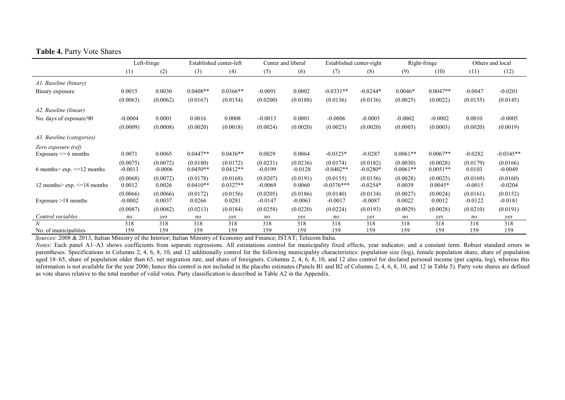|                                       | Left-fringe           |                       |                        | Established center-left | Center and liberal    |                       | Established center-right |                        |                        | Right-fringe           | Others and local      |                       |
|---------------------------------------|-----------------------|-----------------------|------------------------|-------------------------|-----------------------|-----------------------|--------------------------|------------------------|------------------------|------------------------|-----------------------|-----------------------|
|                                       | (1)                   | (2)                   | (3)                    | (4)                     | (5)                   | (6)                   | (7)                      | (8)                    | (9)                    | (10)                   | (11)                  | (12)                  |
| A1. Baseline (binary)                 |                       |                       |                        |                         |                       |                       |                          |                        |                        |                        |                       |                       |
| Binary exposure                       | 0.0015                | 0.0030                | $0.0408**$             | $0.0366**$              | $-0.0091$             | 0.0002                | $-0.0331**$              | $-0.0244*$             | $0.0046*$              | $0.0047**$             | $-0.0047$             | $-0.0201$             |
|                                       | (0.0063)              | (0.0062)              | (0.0167)               | (0.0154)                | (0.0200)              | (0.0188)              | (0.0136)                 | (0.0136)               | (0.0025)               | (0.0022)               | (0.0155)              | (0.0145)              |
| A2. Baseline (linear)                 |                       |                       |                        |                         |                       |                       |                          |                        |                        |                        |                       |                       |
| No. days of exposure/90               | $-0.0004$             | 0.0001                | 0.0016                 | 0.0008                  | $-0.0013$             | 0.0001                | $-0.0006$                | $-0.0003$              | $-0.0002$              | $-0.0002$              | 0.0010                | $-0.0005$             |
|                                       | (0.0009)              | (0.0008)              | (0.0020)               | (0.0018)                | (0.0024)              | (0.0020)              | (0.0023)                 | (0.0020)               | (0.0003)               | (0.0003)               | (0.0020)              | (0.0019)              |
| A3. Baseline (categories)             |                       |                       |                        |                         |                       |                       |                          |                        |                        |                        |                       |                       |
| Zero exposure (ref)                   | 0.0071                | 0.0065                | $0.0447**$             | $0.0436**$              | 0.0029                | 0.0064                | $-0.0325*$               | $-0.0287$              | $0.0061**$             | $0.0067**$             | $-0.0282$             | $-0.0345**$           |
| Exposure $\leq 6$ months              |                       |                       |                        |                         |                       |                       |                          |                        |                        |                        |                       |                       |
| 6 months> $\exp$ . $\leq$ =12 months  | (0.0075)<br>$-0.0013$ | (0.0072)<br>$-0.0006$ | (0.0180)<br>$0.0450**$ | (0.0172)<br>$0.0412**$  | (0.0231)<br>$-0.0199$ | (0.0236)<br>$-0.0128$ | (0.0174)<br>$-0.0402**$  | (0.0182)<br>$-0.0280*$ | (0.0030)<br>$0.0061**$ | (0.0028)<br>$0.0051**$ | (0.0179)<br>0.0103    | (0.0166)<br>$-0.0049$ |
| 12 months> $\exp$ . $\leq$ =18 months | (0.0068)<br>0.0012    | (0.0072)<br>0.0026    | (0.0178)<br>$0.0410**$ | (0.0168)<br>$0.0327**$  | (0.0207)<br>$-0.0069$ | (0.0191)<br>0.0060    | (0.0155)<br>$-0.0376***$ | (0.0156)<br>$-0.0254*$ | (0.0028)<br>0.0039     | (0.0025)<br>$0.0045*$  | (0.0169)<br>$-0.0015$ | (0.0160)<br>$-0.0204$ |
| Exposure $>18$ months                 | (0.0066)<br>$-0.0002$ | (0.0066)<br>0.0037    | (0.0172)<br>0.0266     | (0.0156)<br>0.0281      | (0.0205)<br>$-0.0147$ | (0.0186)<br>$-0.0063$ | (0.0140)<br>$-0.0017$    | (0.0134)<br>$-0.0087$  | (0.0027)<br>0.0022     | (0.0024)<br>0.0012     | (0.0161)<br>$-0.0122$ | (0.0152)<br>$-0.0181$ |
|                                       | (0.0087)              | (0.0082)              | (0.0213)               | (0.0184)                | (0.0258)              | (0.0220)              | (0.0224)                 | (0.0193)               | (0.0029)               | (0.0028)               | (0.0210)              | (0.0191)              |
| Control variables                     | n <sub>O</sub>        | ves                   | no                     | ves                     | n <sub>O</sub>        | ves                   | no                       | yes                    | no                     | yes                    | no                    | yes                   |
|                                       | 318                   | 318                   | 318                    | 318                     | 318                   | 318                   | 318                      | 318                    | 318                    | 318                    | 318                   | 318                   |
| No. of municipalities                 | 159                   | 159                   | 159                    | 159                     | 159                   | 159                   | 159                      | 159                    | 159                    | 159                    | 159                   | 159                   |

#### Table 4. Party Vote Shares

*Sources*: 2008 & 2013, Italian Ministry of the Interior; Italian Ministry of Economy and Finance; ISTAT; Telecom Italia.

*Notes*: Each panel A1–A3 shows coefficients from separate regressions. All estimations control for municipality fixed effects, year indicator, and a constant term. Robust standard errors in parentheses. Specifications in Columns 2, 4, 6, 8, 10, and 12 additionally control for the following municipality characteristics: population size (log), female population share, share of population aged 18–65, share of population older than 65, net migration rate, and share of foreigners. Columns 2, 4, 6, 8, 10, and 12 also control for declared personal income (per capita, log), whereas this information is not available for the year 2006; hence this control is not included in the placebo estimates (Panels B1 and B2 of Columns 2, 4, 6, 8, 10, and 12 in Table 5). Party vote shares are defined as vote shares relative to the total number of valid votes. Party classification is described in Table A2 in the Appendix.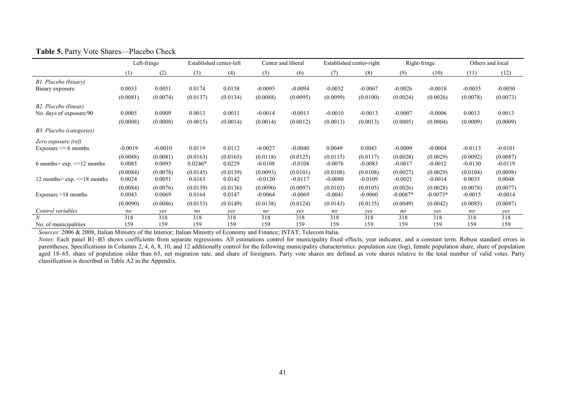|                                      | Left-fringe |           | Established center-left |          | Center and liberal |           |           | Established center-right |            | Right-fringe | Others and local |           |
|--------------------------------------|-------------|-----------|-------------------------|----------|--------------------|-----------|-----------|--------------------------|------------|--------------|------------------|-----------|
|                                      | (1)         | (2)       | (3)                     | (4)      | (5)                | (6)       | (7)       | (8)                      | (9)        | (10)         | (11)             | (12)      |
| B1. Placebo (binary)                 |             |           |                         |          |                    |           |           |                          |            |              |                  |           |
| Binary exposure                      | 0.0033      | 0.0051    | 0.0174                  | 0.0158   | $-0.0095$          | $-0.0094$ | $-0.0052$ | $-0.0067$                | $-0.0026$  | $-0.0018$    | $-0.0035$        | $-0.0030$ |
|                                      | (0.0081)    | (0.0074)  | (0.0137)                | (0.0134) | (0.0088)           | (0.0095)  | (0.0099)  | (0.0100)                 | (0.0024)   | (0.0026)     | (0.0078)         | (0.0073)  |
| B2. Placebo (linear)                 |             |           |                         |          |                    |           |           |                          |            |              |                  |           |
| No. days of exposure/90              | 0.0005      | 0.0009    | 0.0013                  | 0.0011   | $-0.0014$          | $-0.0013$ | $-0.0010$ | $-0.0013$                | $-0.0007$  | $-0.0006$    | 0.0013           | 0.0013    |
|                                      | (0.0008)    | (0.0008)  | (0.0015)                | (0.0014) | (0.0014)           | (0.0012)  | (0.0013)  | (0.0013)                 | (0.0005)   | (0.0004)     | (0.0009)         | (0.0009)  |
| B3. Placebo (categories)             |             |           |                         |          |                    |           |           |                          |            |              |                  |           |
| Zero exposure (ref)                  |             |           |                         |          |                    |           |           |                          |            |              |                  |           |
| Exposure $\leq 6$ months             | $-0.0019$   | $-0.0010$ | 0.0119                  | 0.0112   | $-0.0027$          | $-0.0040$ | 0.0049    | 0.0043                   | $-0.0009$  | $-0.0004$    | $-0.0113$        | $-0.0101$ |
|                                      | (0.0088)    | (0.0081)  | (0.0163)                | (0.0165) | (0.0118)           | (0.0125)  | (0.0115)  | (0.0117)                 | (0.0028)   | (0.0029)     | (0.0092)         | (0.0087)  |
| 6 months> $\exp$ . $\le$ =12 months  | 0.0085      | 0.0093    | $0.0246*$               | 0.0229   | $-0.0108$          | $-0.0108$ | $-0.0076$ | $-0.0083$                | $-0.0017$  | $-0.0012$    | $-0.0130$        | $-0.0119$ |
|                                      | (0.0084)    | (0.0078)  | (0.0145)                | (0.0139) | (0.0093)           | (0.0101)  | (0.0108)  | (0.0108)                 | (0.0027)   | (0.0029)     | (0.0104)         | (0.0098)  |
| 12 months> $\exp$ . $\le$ =18 months | 0.0024      | 0.0051    | 0.0163                  | 0.0142   | $-0.0120$          | $-0.0117$ | $-0.0080$ | $-0.0109$                | $-0.0021$  | $-0.0014$    | 0.0035           | 0.0048    |
|                                      | (0.0084)    | (0.0076)  | (0.0139)                | (0.0136) | (0.0090)           | (0.0097)  | (0.0103)  | (0.0105)                 | (0.0026)   | (0.0028)     | (0.0078)         | (0.0077)  |
| Exposure >18 months                  | 0.0043      | 0.0069    | 0.0164                  | 0.0147   | $-0.0064$          | $-0.0069$ | $-0.0041$ | $-0.0060$                | $-0.0087*$ | $-0.0073*$   | $-0.0015$        | $-0.0014$ |
|                                      | (0.0090)    | (0.0086)  | (0.0153)                | (0.0149) | (0.0138)           | (0.0124)  | (0.0143)  | (0.0135)                 | (0.0049)   | (0.0042)     | (0.0085)         | (0.0087)  |
| Control variables                    | no          | yes       | no                      | yes      | no                 | yes       | no        | ves                      | no         | yes          | no               | yes       |
|                                      | 318         | 318       | 318                     | 318      | 318                | 318       | 318       | 318                      | 318        | 318          | 318              | 318       |
| No. of municipalities                | 159         | 159       | 159                     | 159      | 159                | 159       | 159       | 159                      | 159        | 159          | 159              | 159       |

#### Table 5. Party Vote Shares—Placebo Check

*Sources*: 2006 & 2008, Italian Ministry of the Interior; Italian Ministry of Economy and Finance; ISTAT; Telecom Italia.

*Notes*: Each panel B1–B3 shows coefficients from separate regressions. All estimations control for municipality fixed effects, year indicator, and a constant term. Robust standard errors in parentheses. Specifications in Columns 2, 4, 6, 8, 10, and 12 additionally control for the following municipality characteristics: population size (log), female population share, share of population aged 18–65, share of population older than 65, net migration rate, and share of foreigners. Party vote shares are defined as vote shares relative to the total number of valid votes. Party classification is described in Table A2 in the Appendix.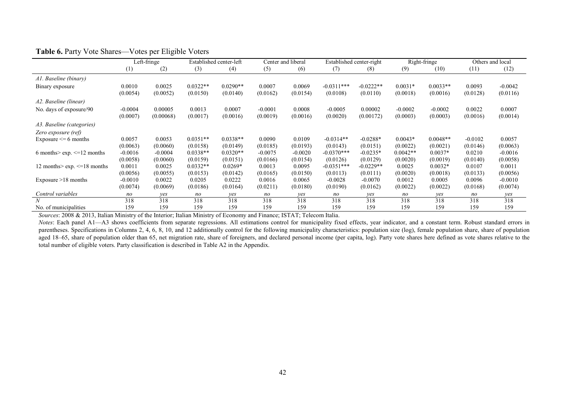|                                     |                | Left-fringe |            | Established center-left | Center and liberal |           | Established center-right |             |            | Right-fringe |           | Others and local |
|-------------------------------------|----------------|-------------|------------|-------------------------|--------------------|-----------|--------------------------|-------------|------------|--------------|-----------|------------------|
|                                     | (1)            | (2)         | (3)        | (4)                     | (5)                | (6)       | (7)                      | (8)         | (9)        | (10)         | (11)      | (12)             |
| A1. Baseline (binary)               |                |             |            |                         |                    |           |                          |             |            |              |           |                  |
| Binary exposure                     | 0.0010         | 0.0025      | $0.0322**$ | $0.0290**$              | 0.0007             | 0.0069    | $-0.0311***$             | $-0.0222**$ | $0.0031*$  | $0.0033**$   | 0.0093    | $-0.0042$        |
|                                     | (0.0054)       | (0.0052)    | (0.0150)   | (0.0140)                | (0.0162)           | (0.0154)  | (0.0108)                 | (0.0110)    | (0.0018)   | (0.0016)     | (0.0128)  | (0.0116)         |
| A2. Baseline (linear)               |                |             |            |                         |                    |           |                          |             |            |              |           |                  |
| No. days of exposure/90             | $-0.0004$      | 0.00005     | 0.0013     | 0.0007                  | $-0.0001$          | 0.0008    | $-0.0005$                | 0.00002     | $-0.0002$  | $-0.0002$    | 0.0022    | 0.0007           |
|                                     | (0.0007)       | (0.00068)   | (0.0017)   | (0.0016)                | (0.0019)           | (0.0016)  | (0.0020)                 | (0.00172)   | (0.0003)   | (0.0003)     | (0.0016)  | (0.0014)         |
| A3. Baseline (categories)           |                |             |            |                         |                    |           |                          |             |            |              |           |                  |
| Zero exposure (ref)                 |                |             |            |                         |                    |           |                          |             |            |              |           |                  |
| Exposure $\leq 6$ months            | 0.0057         | 0.0053      | $0.0351**$ | $0.0338**$              | 0.0090             | 0.0109    | $-0.0314**$              | $-0.0288*$  | $0.0043*$  | $0.0048**$   | $-0.0102$ | 0.0057           |
|                                     | (0.0063)       | (0.0060)    | (0.0158)   | (0.0149)                | (0.0185)           | (0.0193)  | (0.0143)                 | (0.0151)    | (0.0022)   | (0.0021)     | (0.0146)  | (0.0063)         |
| 6 months> $\exp$ . $\le$ =12 months | $-0.0016$      | $-0.0004$   | $0.0338**$ | $0.0320**$              | $-0.0075$          | $-0.0020$ | $-0.0370***$             | $-0.0235*$  | $0.0042**$ | $0.0037*$    | 0.0210    | $-0.0016$        |
|                                     | (0.0058)       | (0.0060)    | (0.0159)   | (0.0151)                | (0.0166)           | (0.0154)  | (0.0126)                 | (0.0129)    | (0.0020)   | (0.0019)     | (0.0140)  | (0.0058)         |
| 12 months> exp. <= 18 months        | 0.0011         | 0.0025      | $0.0332**$ | $0.0269*$               | 0.0013             | 0.0095    | $-0.0351***$             | $-0.0229**$ | 0.0025     | $0.0032*$    | 0.0107    | 0.0011           |
|                                     | (0.0056)       | (0.0055)    | (0.0153)   | (0.0142)                | (0.0165)           | (0.0150)  | (0.0113)                 | (0.0111)    | (0.0020)   | (0.0018)     | (0.0133)  | (0.0056)         |
| Exposure $>18$ months               | $-0.0010$      | 0.0022      | 0.0205     | 0.0222                  | 0.0016             | 0.0065    | $-0.0028$                | $-0.0070$   | 0.0012     | 0.0005       | 0.0096    | $-0.0010$        |
|                                     | (0.0074)       | (0.0069)    | (0.0186)   | (0.0164)                | (0.0211)           | (0.0180)  | (0.0190)                 | (0.0162)    | (0.0022)   | (0.0022)     | (0.0168)  | (0.0074)         |
| Control variables                   | n <sub>O</sub> | yes         | no         | yes                     | n <sub>O</sub>     | ves       | no                       | yes         | no         | yes          | no        | ves              |
|                                     | 318            | 318         | 318        | 318                     | 318                | 318       | 318                      | 318         | 318        | 318          | 318       | 318              |
| No. of municipalities               | 159            | 159         | 159        | 159                     | 159                | 159       | 159                      | 159         | 159        | 159          | 159       | 159              |

#### Table 6. Party Vote Shares—Votes per Eligible Voters

*Sources*: 2008 & 2013, Italian Ministry of the Interior; Italian Ministry of Economy and Finance; ISTAT; Telecom Italia.

*Notes*: Each panel A1—A3 shows coefficients from separate regressions. All estimations control for municipality fixed effects, year indicator, and a constant term. Robust standard errors in parentheses. Specifications in Columns 2, 4, 6, 8, 10, and 12 additionally control for the following municipality characteristics: population size (log), female population share, share of population aged 18–65, share of population older than 65, net migration rate, share of foreigners, and declared personal income (per capita, log). Party vote shares here defined as vote shares relative to the total number of eligible voters. Party classification is described in Table A2 in the Appendix.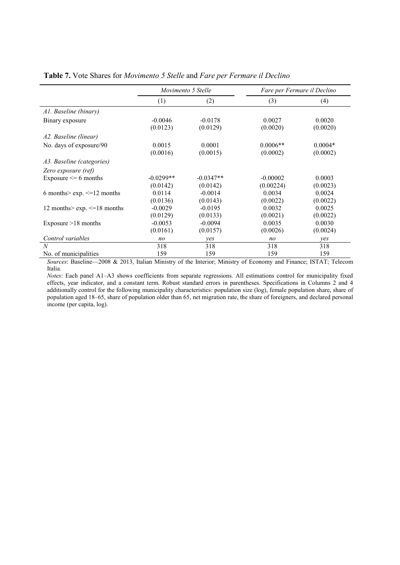|                                      | <i>Movimento 5 Stelle</i> |                       | Fare per Fermare il Declino |                       |
|--------------------------------------|---------------------------|-----------------------|-----------------------------|-----------------------|
|                                      | (1)                       | (2)                   | (3)                         | (4)                   |
| Al. Baseline (binary)                |                           |                       |                             |                       |
| Binary exposure                      | $-0.0046$<br>(0.0123)     | $-0.0178$<br>(0.0129) | 0.0027<br>(0.0020)          | 0.0020<br>(0.0020)    |
| A2. Baseline (linear)                |                           |                       |                             |                       |
| No. days of exposure/90              | 0.0015<br>(0.0016)        | 0.0001<br>(0.0015)    | $0.0006**$<br>(0.0002)      | $0.0004*$<br>(0.0002) |
| A3. Baseline (categories)            |                           |                       |                             |                       |
| Zero exposure (ref)                  |                           |                       |                             |                       |
| Exposure $\leq 6$ months             | $-0.0299**$               | $-0.0347**$           | $-0.00002$                  | 0.0003                |
|                                      | (0.0142)                  | (0.0142)              | (0.00224)                   | (0.0023)              |
| 6 months> $\exp$ . $\leq$ =12 months | 0.0114                    | $-0.0014$             | 0.0034                      | 0.0024                |
|                                      | (0.0136)                  | (0.0143)              | (0.0022)                    | (0.0022)              |
| 12 months> $\exp$ . $\le$ =18 months | $-0.0029$                 | $-0.0195$             | 0.0032                      | 0.0025                |
|                                      | (0.0129)                  | (0.0133)              | (0.0021)                    | (0.0022)              |
| Exposure $>18$ months                | $-0.0053$                 | $-0.0094$             | 0.0035                      | 0.0030                |
|                                      | (0.0161)                  | (0.0157)              | (0.0026)                    | (0.0024)              |
| Control variables                    | n <sub>O</sub>            | yes                   | no                          | yes                   |
| N                                    | 318                       | 318                   | 318                         | 318                   |
| No. of municipalities                | 159                       | 159                   | 159                         | 159                   |

Table 7. Vote Shares for *Movimento 5 Stelle* and *Fare per Fermare il Declino*

*Sources*: Baseline—2008 & 2013, Italian Ministry of the Interior; Ministry of Economy and Finance; ISTAT; Telecom Italia.

*Notes*: Each panel A1–A3 shows coefficients from separate regressions. All estimations control for municipality fixed effects, year indicator, and a constant term. Robust standard errors in parentheses. Specifications in Columns 2 and 4 additionally control for the following municipality characteristics: population size (log), female population share, share of population aged 18–65, share of population older than 65, net migration rate, the share of foreigners, and declared personal income (per capita, log).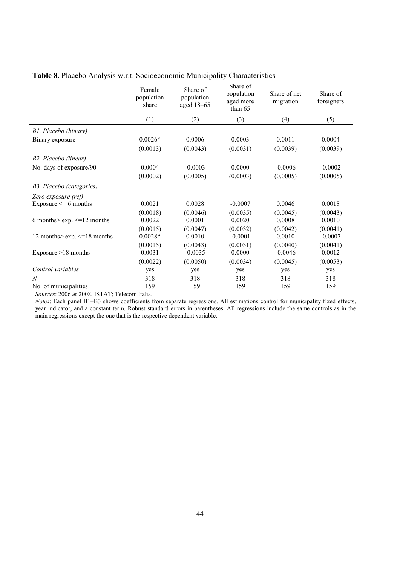|                                      | Female<br>population<br>share | Share of<br>population<br>aged 18-65 | Share of<br>population<br>aged more<br>than 65 | Share of net<br>migration | Share of<br>foreigners |
|--------------------------------------|-------------------------------|--------------------------------------|------------------------------------------------|---------------------------|------------------------|
|                                      | (1)                           | (2)                                  | (3)                                            | (4)                       | (5)                    |
| B1. Placebo (binary)                 |                               |                                      |                                                |                           |                        |
| Binary exposure                      | $0.0026*$                     | 0.0006                               | 0.0003                                         | 0.0011                    | 0.0004                 |
|                                      | (0.0013)                      | (0.0043)                             | (0.0031)                                       | (0.0039)                  | (0.0039)               |
| B2. Placebo (linear)                 |                               |                                      |                                                |                           |                        |
| No. days of exposure/90              | 0.0004                        | $-0.0003$                            | 0.0000                                         | $-0.0006$                 | $-0.0002$              |
|                                      | (0.0002)                      | (0.0005)                             | (0.0003)                                       | (0.0005)                  | (0.0005)               |
| B3. Placebo (categories)             |                               |                                      |                                                |                           |                        |
| Zero exposure (ref)                  |                               |                                      |                                                |                           |                        |
| Exposure $\leq 6$ months             | 0.0021                        | 0.0028                               | $-0.0007$                                      | 0.0046                    | 0.0018                 |
|                                      | (0.0018)                      | (0.0046)                             | (0.0035)                                       | (0.0045)                  | (0.0043)               |
| 6 months> $\exp$ . $\leq$ =12 months | 0.0022                        | 0.0001                               | 0.0020                                         | 0.0008                    | 0.0010                 |
|                                      | (0.0015)                      | (0.0047)                             | (0.0032)                                       | (0.0042)                  | (0.0041)               |
| 12 months> $\exp$ . $\le$ =18 months | $0.0028*$                     | 0.0010                               | $-0.0001$                                      | 0.0010                    | $-0.0007$              |
|                                      | (0.0015)                      | (0.0043)                             | (0.0031)                                       | (0.0040)                  | (0.0041)               |
| Exposure $>18$ months                | 0.0031                        | $-0.0035$                            | 0.0000                                         | $-0.0046$                 | 0.0012                 |
|                                      | (0.0022)                      | (0.0050)                             | (0.0034)                                       | (0.0045)                  | (0.0053)               |
| Control variables                    | yes                           | yes                                  | yes                                            | yes                       | yes                    |
| $\overline{N}$                       | 318                           | 318                                  | 318                                            | 318                       | 318                    |
| No. of municipalities                | 159                           | 159                                  | 159                                            | 159                       | 159                    |

### Table 8. Placebo Analysis w.r.t. Socioeconomic Municipality Characteristics

*Sources*: 2006 & 2008, ISTAT; Telecom Italia.

*Notes*: Each panel B1–B3 shows coefficients from separate regressions. All estimations control for municipality fixed effects, year indicator, and a constant term. Robust standard errors in parentheses. All regressions include the same controls as in the main regressions except the one that is the respective dependent variable.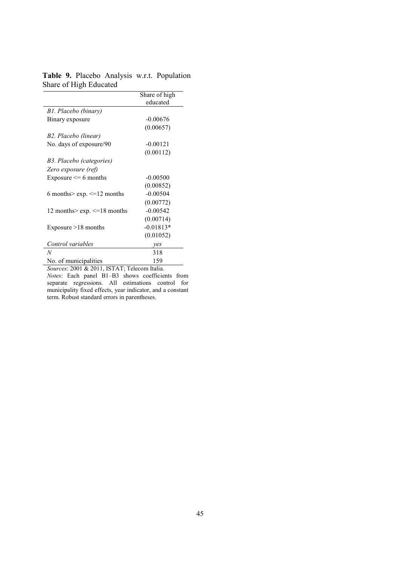|                                      | Share of high |
|--------------------------------------|---------------|
|                                      | educated      |
| B1. Placebo (binary)                 |               |
| Binary exposure                      | $-0.00676$    |
|                                      | (0.00657)     |
| B2. Placebo (linear)                 |               |
| No. days of exposure/90              | $-0.00121$    |
|                                      | (0.00112)     |
| B3. Placebo (categories)             |               |
| Zero exposure (ref)                  |               |
| Exposure $\leq 6$ months             | $-0.00500$    |
|                                      | (0.00852)     |
| 6 months> $\exp$ . $\leq$ =12 months | $-0.00504$    |
|                                      | (0.00772)     |
| 12 months> $\exp$ . $\le$ =18 months | $-0.00542$    |
|                                      | (0.00714)     |
| Exposure $>18$ months                | $-0.01813*$   |
|                                      | (0.01052)     |
| Control variables                    | yes           |
| N                                    | 318           |
| No. of municipalities                | 159           |

Table 9. Placebo Analysis w.r.t. Population Share of High Educated

*Sources*: 2001 & 2011, ISTAT; Telecom Italia. *Notes*: Each panel B1–B3 shows coefficients from separate regressions. All estimations control for municipality fixed effects, year indicator, and a constant term. Robust standard errors in parentheses.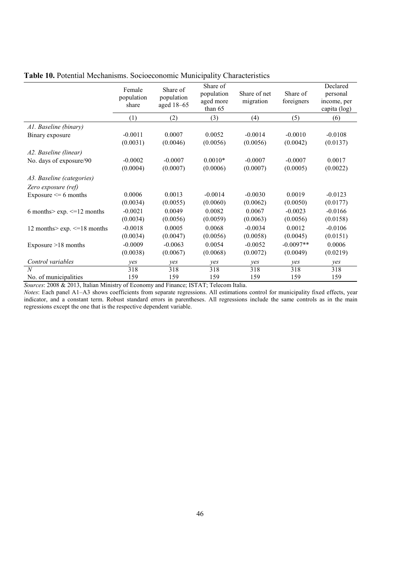|                                      | Female<br>population<br>share | Share of<br>population<br>aged $18-65$ | Share of<br>population<br>aged more<br>than 65 | Share of net<br>migration | Share of<br>foreigners | Declared<br>personal<br>income, per<br>capita (log) |
|--------------------------------------|-------------------------------|----------------------------------------|------------------------------------------------|---------------------------|------------------------|-----------------------------------------------------|
|                                      | (1)                           | (2)                                    | (3)                                            | (4)                       | (5)                    | (6)                                                 |
| A1. Baseline (binary)                |                               |                                        |                                                |                           |                        |                                                     |
| Binary exposure                      | $-0.0011$                     | 0.0007                                 | 0.0052                                         | $-0.0014$                 | $-0.0010$              | $-0.0108$                                           |
|                                      | (0.0031)                      | (0.0046)                               | (0.0056)                                       | (0.0056)                  | (0.0042)               | (0.0137)                                            |
| A2. Baseline (linear)                |                               |                                        |                                                |                           |                        |                                                     |
| No. days of exposure/90              | $-0.0002$                     | $-0.0007$                              | $0.0010*$                                      | $-0.0007$                 | $-0.0007$              | 0.0017                                              |
|                                      | (0.0004)                      | (0.0007)                               | (0.0006)                                       | (0.0007)                  | (0.0005)               | (0.0022)                                            |
| A3. Baseline (categories)            |                               |                                        |                                                |                           |                        |                                                     |
| Zero exposure (ref)                  |                               |                                        |                                                |                           |                        |                                                     |
| Exposure $\leq 6$ months             | 0.0006                        | 0.0013                                 | $-0.0014$                                      | $-0.0030$                 | 0.0019                 | $-0.0123$                                           |
|                                      | (0.0034)                      | (0.0055)                               | (0.0060)                                       | (0.0062)                  | (0.0050)               | (0.0177)                                            |
| 6 months> $\exp$ . $\leq$ =12 months | $-0.0021$                     | 0.0049                                 | 0.0082                                         | 0.0067                    | $-0.0023$              | $-0.0166$                                           |
|                                      | (0.0034)                      | (0.0056)                               | (0.0059)                                       | (0.0063)                  | (0.0056)               | (0.0158)                                            |
| 12 months> $\exp$ . $\le$ =18 months | $-0.0018$                     | 0.0005                                 | 0.0068                                         | $-0.0034$                 | 0.0012                 | $-0.0106$                                           |
|                                      | (0.0034)                      | (0.0047)                               | (0.0056)                                       | (0.0058)                  | (0.0045)               | (0.0151)                                            |
| Exposure $>18$ months                | $-0.0009$                     | $-0.0063$                              | 0.0054                                         | $-0.0052$                 | $-0.0097**$            | 0.0006                                              |
|                                      | (0.0038)                      | (0.0067)                               | (0.0068)                                       | (0.0072)                  | (0.0049)               | (0.0219)                                            |
| Control variables                    | yes                           | yes                                    | yes                                            | yes                       | yes                    | yes                                                 |
| $\overline{N}$                       | 318                           | 318                                    | 318                                            | 318                       | 318                    | 318                                                 |
| No. of municipalities                | 159                           | 159                                    | 159                                            | 159                       | 159                    | 159                                                 |

Table 10. Potential Mechanisms. Socioeconomic Municipality Characteristics

*Sources*: 2008 & 2013, Italian Ministry of Economy and Finance; ISTAT; Telecom Italia.

*Notes*: Each panel A1–A3 shows coefficients from separate regressions. All estimations control for municipality fixed effects, year indicator, and a constant term. Robust standard errors in parentheses. All regressions include the same controls as in the main regressions except the one that is the respective dependent variable.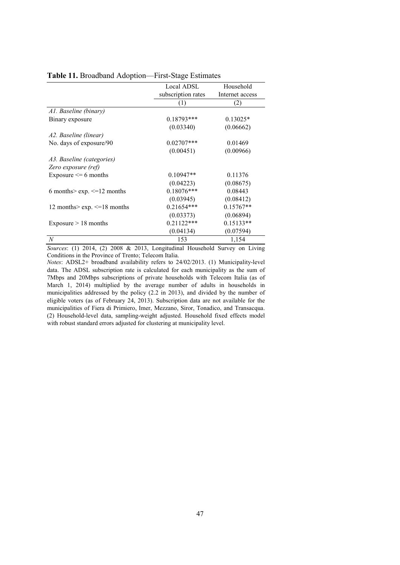|                                       | Local ADSL         | Household       |
|---------------------------------------|--------------------|-----------------|
|                                       | subscription rates | Internet access |
|                                       | (1)                | (2)             |
| A1. Baseline (binary)                 |                    |                 |
| Binary exposure                       | $0.18793***$       | $0.13025*$      |
|                                       | (0.03340)          | (0.06662)       |
| A2. Baseline (linear)                 |                    |                 |
| No. days of exposure/90               | $0.02707***$       | 0.01469         |
|                                       | (0.00451)          | (0.00966)       |
| A3. Baseline (categories)             |                    |                 |
| Zero exposure (ref)                   |                    |                 |
| Exposure $\leq 6$ months              | $0.10947**$        | 0.11376         |
|                                       | (0.04223)          | (0.08675)       |
| 6 months> $\exp$ . $\leq$ =12 months  | $0.18076$ ***      | 0.08443         |
|                                       | (0.03945)          | (0.08412)       |
| 12 months> $\exp$ . $\leq$ =18 months | $0.21654***$       | $0.15767**$     |
|                                       | (0.03373)          | (0.06894)       |
| Exposure $> 18$ months                | $0.21122***$       | $0.15133**$     |
|                                       | (0.04134)          | (0.07594)       |
| $\boldsymbol{N}$                      | 153                | 1,154           |

#### Table 11. Broadband Adoption—First-Stage Estimates

*Sources*: (1) 2014, (2) 2008 & 2013, Longitudinal Household Survey on Living Conditions in the Province of Trento; Telecom Italia.

*Notes*: ADSL2+ broadband availability refers to 24/02/2013. (1) Municipality-level data. The ADSL subscription rate is calculated for each municipality as the sum of 7Mbps and 20Mbps subscriptions of private households with Telecom Italia (as of March 1, 2014) multiplied by the average number of adults in households in municipalities addressed by the policy (2.2 in 2013), and divided by the number of eligible voters (as of February 24, 2013). Subscription data are not available for the municipalities of Fiera di Primiero, Imer, Mezzano, Siror, Tonadico, and Transacqua. (2) Household-level data, sampling-weight adjusted. Household fixed effects model with robust standard errors adjusted for clustering at municipality level.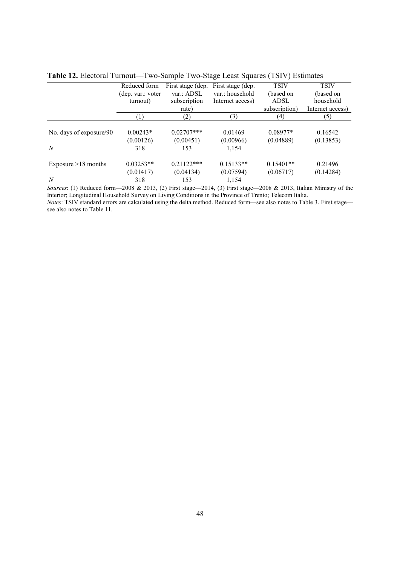|                         | Reduced form       | First stage (dep. | First stage (dep. | <b>TSIV</b>   | <b>TSIV</b>      |
|-------------------------|--------------------|-------------------|-------------------|---------------|------------------|
|                         | (dep. var.: voter) | var.: ADSL        | var.: household   | (based on     | (based on        |
|                         | turnout)           | subscription      | Internet access)  | <b>ADSL</b>   | household        |
|                         |                    | rate)             |                   | subscription) | Internet access) |
|                         | (1)                | (2)               | (3)               | (4)           | (5)              |
|                         |                    |                   |                   |               |                  |
| No. days of exposure/90 | $0.00243*$         | $0.02707***$      | 0.01469           | $0.08977*$    | 0.16542          |
|                         | (0.00126)          | (0.00451)         | (0.00966)         | (0.04889)     | (0.13853)        |
| N                       | 318                | 153               | 1,154             |               |                  |
| Exposure $>18$ months   | $0.03253**$        | $0.21122***$      | $0.15133**$       | $0.15401**$   | 0.21496          |
|                         | (0.01417)          | (0.04134)         | (0.07594)         | (0.06717)     | (0.14284)        |
| N                       | 318                | 153               | 1,154             |               |                  |

*Sources*: (1) Reduced form—2008 & 2013, (2) First stage—2014, (3) First stage—2008 & 2013, Italian Ministry of the Interior; Longitudinal Household Survey on Living Conditions in the Province of Trento; Telecom Italia. *Notes*: TSIV standard errors are calculated using the delta method. Reduced form—see also notes to Table 3. First stage—

see also notes to Table 11.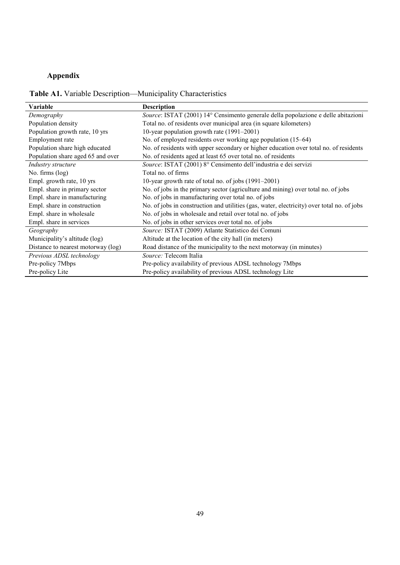# Appendix

|  |  |  |  | <b>Table A1.</b> Variable Description—Municipality Characteristics |
|--|--|--|--|--------------------------------------------------------------------|
|--|--|--|--|--------------------------------------------------------------------|

| Variable                           | <b>Description</b>                                                                         |  |
|------------------------------------|--------------------------------------------------------------------------------------------|--|
| Demography                         | Source: ISTAT (2001) 14° Censimento generale della popolazione e delle abitazioni          |  |
| Population density                 | Total no. of residents over municipal area (in square kilometers)                          |  |
| Population growth rate, 10 yrs     | 10-year population growth rate (1991–2001)                                                 |  |
| Employment rate                    | No. of employed residents over working age population (15–64)                              |  |
| Population share high educated     | No. of residents with upper secondary or higher education over total no. of residents      |  |
| Population share aged 65 and over  | No. of residents aged at least 65 over total no. of residents                              |  |
| Industry structure                 | Source: ISTAT (2001) 8° Censimento dell'industria e dei servizi                            |  |
| No. firms (log)                    | Total no. of firms                                                                         |  |
| Empl. growth rate, 10 yrs          | 10-year growth rate of total no. of jobs (1991–2001)                                       |  |
| Empl. share in primary sector      | No. of jobs in the primary sector (agriculture and mining) over total no. of jobs          |  |
| Empl. share in manufacturing       | No. of jobs in manufacturing over total no. of jobs                                        |  |
| Empl. share in construction        | No. of jobs in construction and utilities (gas, water, electricity) over total no. of jobs |  |
| Empl. share in wholesale           | No. of jobs in wholesale and retail over total no. of jobs                                 |  |
| Empl. share in services            | No. of jobs in other services over total no. of jobs                                       |  |
| Geography                          | Source: ISTAT (2009) Atlante Statistico dei Comuni                                         |  |
| Municipality's altitude (log)      | Altitude at the location of the city hall (in meters)                                      |  |
| Distance to nearest motorway (log) | Road distance of the municipality to the next motorway (in minutes)                        |  |
| Previous ADSL technology           | Source: Telecom Italia                                                                     |  |
| Pre-policy 7Mbps                   | Pre-policy availability of previous ADSL technology 7Mbps                                  |  |
| Pre-policy Lite                    | Pre-policy availability of previous ADSL technology Lite                                   |  |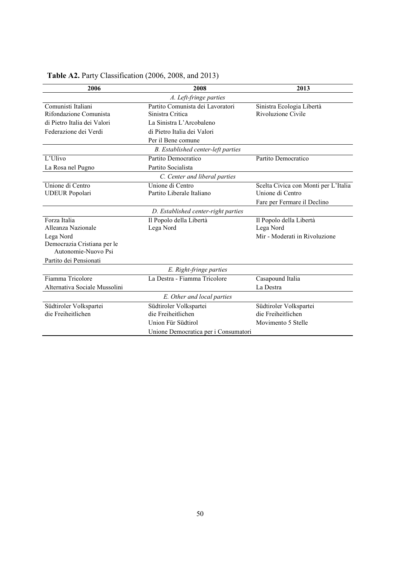| 2006                          | 2008                                 | 2013                                 |
|-------------------------------|--------------------------------------|--------------------------------------|
|                               | A. Left-fringe parties               |                                      |
| Comunisti Italiani            | Partito Comunista dei Lavoratori     | Sinistra Ecologia Libertà            |
| Rifondazione Comunista        | Sinistra Critica                     | Rivoluzione Civile                   |
| di Pietro Italia dei Valori   | La Sinistra L'Arcobaleno             |                                      |
| Federazione dei Verdi         | di Pietro Italia dei Valori          |                                      |
|                               | Per il Bene comune                   |                                      |
|                               | B. Established center-left parties   |                                      |
| L'Ulivo                       | Partito Democratico                  | Partito Democratico                  |
| La Rosa nel Pugno             | Partito Socialista                   |                                      |
|                               | C. Center and liberal parties        |                                      |
| Unione di Centro              | Unione di Centro                     | Scelta Civica con Monti per L'Italia |
| <b>UDEUR</b> Popolari         | Partito Liberale Italiano            | Unione di Centro                     |
|                               |                                      | Fare per Fermare il Declino          |
|                               | D. Established center-right parties  |                                      |
| Forza Italia                  | Il Popolo della Libertà              | Il Popolo della Libertà              |
| Alleanza Nazionale            | Lega Nord                            | Lega Nord                            |
| Lega Nord                     |                                      | Mir - Moderati in Rivoluzione        |
| Democrazia Cristiana per le   |                                      |                                      |
| Autonomie-Nuovo Psi           |                                      |                                      |
| Partito dei Pensionati        |                                      |                                      |
|                               | E. Right-fringe parties              |                                      |
| Fiamma Tricolore              | La Destra - Fiamma Tricolore         | Casapound Italia                     |
| Alternativa Sociale Mussolini |                                      | La Destra                            |
|                               | E. Other and local parties           |                                      |
| Südtiroler Volkspartei        | Südtiroler Volkspartei               | Südtiroler Volkspartei               |
| die Freiheitlichen            | die Freiheitlichen                   | die Freiheitlichen                   |
|                               | Union Für Südtirol                   | Movimento 5 Stelle                   |
|                               | Unione Democratica per i Consumatori |                                      |

# Table A2. Party Classification (2006, 2008, and 2013)